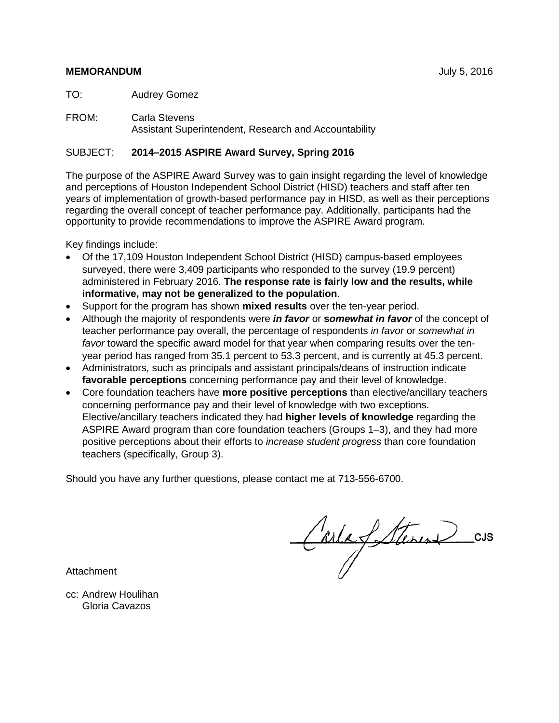## **MEMORANDUM** July 5, 2016

TO: Audrey Gomez

FROM: Carla Stevens Assistant Superintendent, Research and Accountability

## SUBJECT: **2014–2015 ASPIRE Award Survey, Spring 2016**

The purpose of the ASPIRE Award Survey was to gain insight regarding the level of knowledge and perceptions of Houston Independent School District (HISD) teachers and staff after ten years of implementation of growth-based performance pay in HISD, as well as their perceptions regarding the overall concept of teacher performance pay. Additionally, participants had the opportunity to provide recommendations to improve the ASPIRE Award program.

Key findings include:

- Of the 17,109 Houston Independent School District (HISD) campus-based employees surveyed, there were 3,409 participants who responded to the survey (19.9 percent) administered in February 2016. **The response rate is fairly low and the results, while informative, may not be generalized to the population**.
- Support for the program has shown **mixed results** over the ten-year period.
- Although the majority of respondents were *in favor* or **s***omewhat in favor* of the concept of teacher performance pay overall, the percentage of respondents *in favor* or *somewhat in favor* toward the specific award model for that year when comparing results over the tenyear period has ranged from 35.1 percent to 53.3 percent, and is currently at 45.3 percent.
- Administrators, such as principals and assistant principals/deans of instruction indicate **favorable perceptions** concerning performance pay and their level of knowledge.
- Core foundation teachers have **more positive perceptions** than elective/ancillary teachers concerning performance pay and their level of knowledge with two exceptions. Elective/ancillary teachers indicated they had **higher levels of knowledge** regarding the ASPIRE Award program than core foundation teachers (Groups 1–3), and they had more positive perceptions about their efforts to *increase student progress* than core foundation teachers (specifically, Group 3).

Should you have any further questions, please contact me at 713-556-6700.

CarlafSteren

Attachment

cc: Andrew Houlihan Gloria Cavazos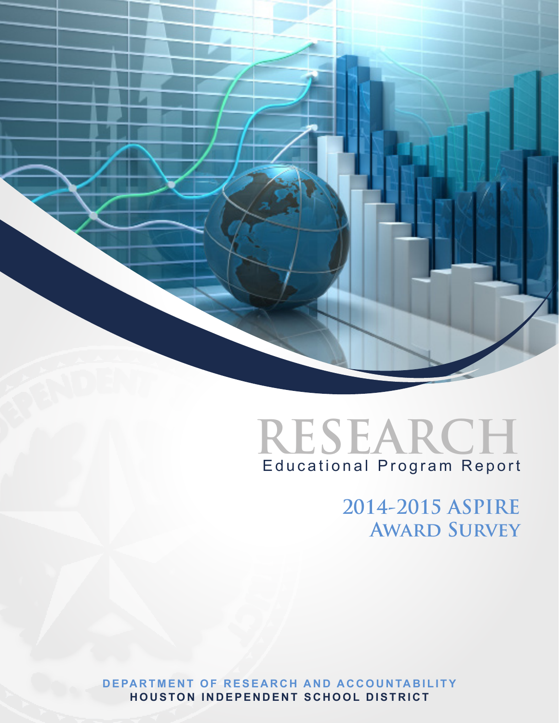



**2014-2015 ASPIRE Award Survey**

**DEPARTMENT OF RESEARCH AND ACCOUNTABILITY HOUSTON INDEPENDENT SCHOOL DISTRICT**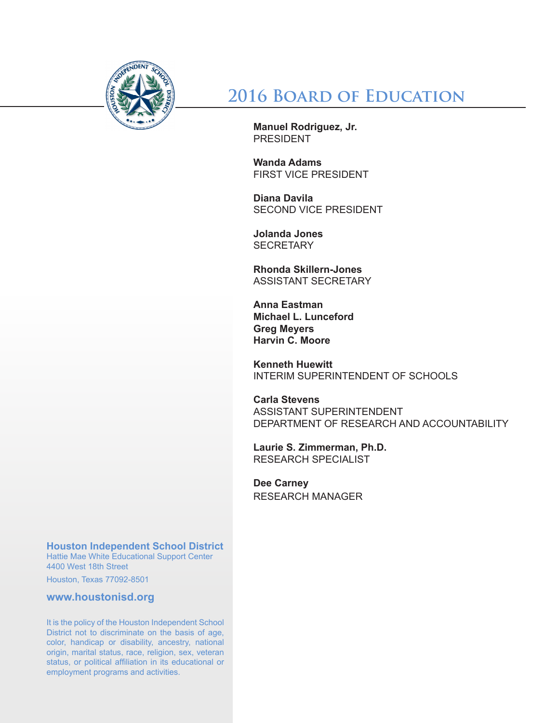

**2016 Board of Education**

**Manuel Rodriguez, Jr.** PRESIDENT

**Wanda Adams** FIRST VICE PRESIDENT

**Diana Davila** SECOND VICE PRESIDENT

**Jolanda Jones SECRETARY** 

**Rhonda Skillern-Jones** ASSISTANT SECRETARY

**Anna Eastman Michael L. Lunceford Greg Meyers Harvin C. Moore**

**Kenneth Huewitt** INTERIM SUPERINTENDENT OF SCHOOLS

**Carla Stevens** ASSISTANT SUPERINTENDENT DEPARTMENT OF RESEARCH AND ACCOUNTABILITY

**Laurie S. Zimmerman, Ph.D.** RESEARCH SPECIALIST

**Dee Carney** RESEARCH MANAGER

**Houston Independent School District**

Hattie Mae White Educational Support Center 4400 West 18th Street

Houston, Texas 77092-8501

**www.houstonisd.org**

It is the policy of the Houston Independent School District not to discriminate on the basis of age, color, handicap or disability, ancestry, national origin, marital status, race, religion, sex, veteran status, or political affiliation in its educational or employment programs and activities.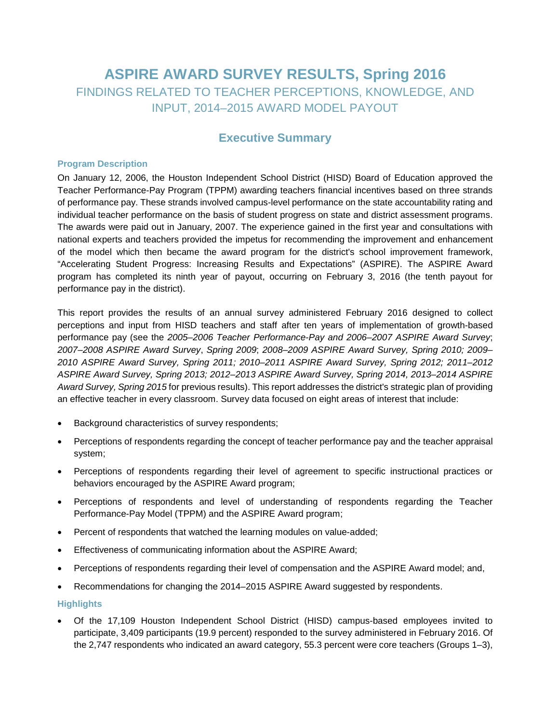# **ASPIRE AWARD SURVEY RESULTS, Spring 2016** FINDINGS RELATED TO TEACHER PERCEPTIONS, KNOWLEDGE, AND INPUT, 2014–2015 AWARD MODEL PAYOUT

# **Executive Summary**

#### **Program Description**

On January 12, 2006, the Houston Independent School District (HISD) Board of Education approved the Teacher Performance-Pay Program (TPPM) awarding teachers financial incentives based on three strands of performance pay. These strands involved campus-level performance on the state accountability rating and individual teacher performance on the basis of student progress on state and district assessment programs. The awards were paid out in January, 2007. The experience gained in the first year and consultations with national experts and teachers provided the impetus for recommending the improvement and enhancement of the model which then became the award program for the district's school improvement framework, "Accelerating Student Progress: Increasing Results and Expectations" (ASPIRE). The ASPIRE Award program has completed its ninth year of payout, occurring on February 3, 2016 (the tenth payout for performance pay in the district).

This report provides the results of an annual survey administered February 2016 designed to collect perceptions and input from HISD teachers and staff after ten years of implementation of growth-based performance pay (see the *2005–2006 Teacher Performance-Pay and 2006–2007 ASPIRE Award Survey*; *2007–2008 ASPIRE Award Survey*, *Spring 2009*; *2008–2009 ASPIRE Award Survey, Spring 2010; 2009– 2010 ASPIRE Award Survey, Spring 2011; 2010–2011 ASPIRE Award Survey, Spring 2012; 2011–2012 ASPIRE Award Survey, Spring 2013; 2012–2013 ASPIRE Award Survey, Spring 2014, 2013–2014 ASPIRE Award Survey, Spring 2015* for previous results). This report addresses the district's strategic plan of providing an effective teacher in every classroom. Survey data focused on eight areas of interest that include:

- Background characteristics of survey respondents;
- Perceptions of respondents regarding the concept of teacher performance pay and the teacher appraisal system;
- Perceptions of respondents regarding their level of agreement to specific instructional practices or behaviors encouraged by the ASPIRE Award program;
- Perceptions of respondents and level of understanding of respondents regarding the Teacher Performance-Pay Model (TPPM) and the ASPIRE Award program;
- Percent of respondents that watched the learning modules on value-added;
- Effectiveness of communicating information about the ASPIRE Award;
- Perceptions of respondents regarding their level of compensation and the ASPIRE Award model; and,
- Recommendations for changing the 2014–2015 ASPIRE Award suggested by respondents.

#### **Highlights**

• Of the 17,109 Houston Independent School District (HISD) campus-based employees invited to participate, 3,409 participants (19.9 percent) responded to the survey administered in February 2016. Of the 2,747 respondents who indicated an award category, 55.3 percent were core teachers (Groups 1–3),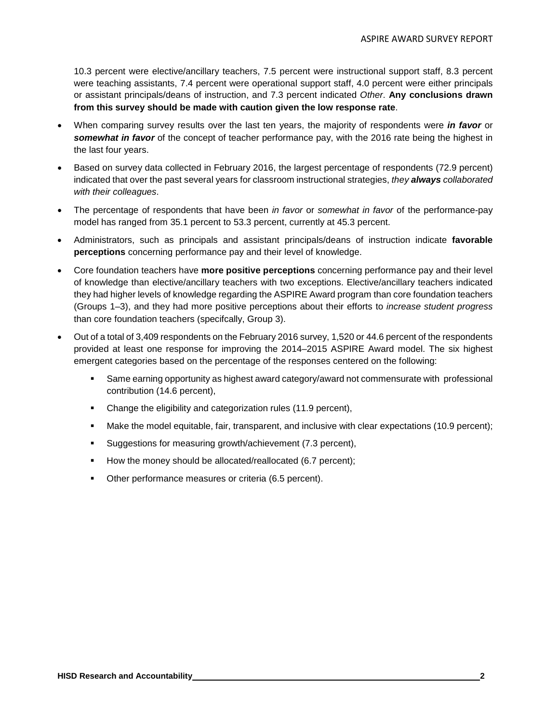10.3 percent were elective/ancillary teachers, 7.5 percent were instructional support staff, 8.3 percent were teaching assistants, 7.4 percent were operational support staff, 4.0 percent were either principals or assistant principals/deans of instruction, and 7.3 percent indicated *Other*. **Any conclusions drawn from this survey should be made with caution given the low response rate**.

- When comparing survey results over the last ten years, the majority of respondents were *in favor* or *somewhat in favor* of the concept of teacher performance pay, with the 2016 rate being the highest in the last four years.
- Based on survey data collected in February 2016, the largest percentage of respondents (72.9 percent) indicated that over the past several years for classroom instructional strategies, *they always collaborated with their colleagues*.
- The percentage of respondents that have been *in favor* or *somewhat in favor* of the performance-pay model has ranged from 35.1 percent to 53.3 percent, currently at 45.3 percent.
- Administrators, such as principals and assistant principals/deans of instruction indicate **favorable perceptions** concerning performance pay and their level of knowledge.
- Core foundation teachers have **more positive perceptions** concerning performance pay and their level of knowledge than elective/ancillary teachers with two exceptions. Elective/ancillary teachers indicated they had higher levels of knowledge regarding the ASPIRE Award program than core foundation teachers (Groups 1–3), and they had more positive perceptions about their efforts to *increase student progress*  than core foundation teachers (specifcally, Group 3).
- Out of a total of 3,409 respondents on the February 2016 survey, 1,520 or 44.6 percent of the respondents provided at least one response for improving the 2014–2015 ASPIRE Award model. The six highest emergent categories based on the percentage of the responses centered on the following:
	- Same earning opportunity as highest award category/award not commensurate with professional contribution (14.6 percent),
	- Change the eligibility and categorization rules (11.9 percent),
	- Make the model equitable, fair, transparent, and inclusive with clear expectations (10.9 percent);
	- Suggestions for measuring growth/achievement (7.3 percent),
	- How the money should be allocated/reallocated (6.7 percent);
	- Other performance measures or criteria (6.5 percent).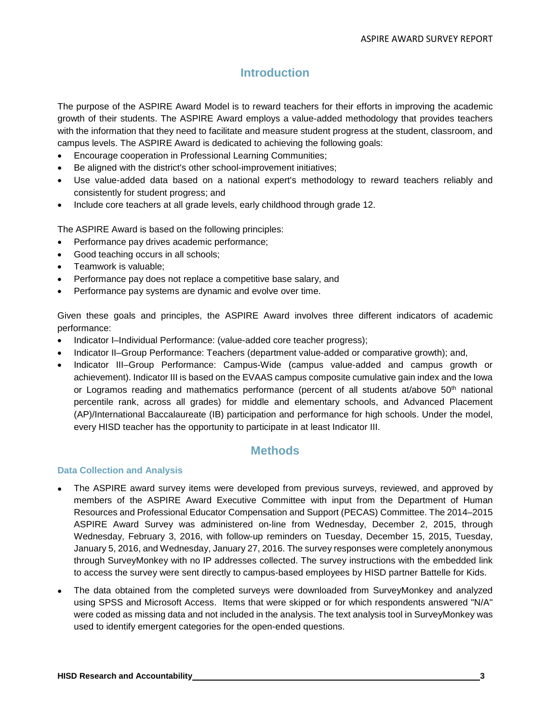# **Introduction**

The purpose of the ASPIRE Award Model is to reward teachers for their efforts in improving the academic growth of their students. The ASPIRE Award employs a value-added methodology that provides teachers with the information that they need to facilitate and measure student progress at the student, classroom, and campus levels. The ASPIRE Award is dedicated to achieving the following goals:

- Encourage cooperation in Professional Learning Communities;
- Be aligned with the district's other school-improvement initiatives;
- Use value-added data based on a national expert's methodology to reward teachers reliably and consistently for student progress; and
- Include core teachers at all grade levels, early childhood through grade 12.

The ASPIRE Award is based on the following principles:

- Performance pay drives academic performance;
- Good teaching occurs in all schools;
- Teamwork is valuable;
- Performance pay does not replace a competitive base salary, and
- Performance pay systems are dynamic and evolve over time.

Given these goals and principles, the ASPIRE Award involves three different indicators of academic performance:

- Indicator I–Individual Performance: (value-added core teacher progress);
- Indicator II–Group Performance: Teachers (department value-added or comparative growth); and,
- Indicator III–Group Performance: Campus-Wide (campus value-added and campus growth or achievement). Indicator III is based on the EVAAS campus composite cumulative gain index and the Iowa or Logramos reading and mathematics performance (percent of all students at/above  $50<sup>th</sup>$  national percentile rank, across all grades) for middle and elementary schools, and Advanced Placement (AP)/International Baccalaureate (IB) participation and performance for high schools. Under the model, every HISD teacher has the opportunity to participate in at least Indicator III.

# **Methods**

#### **Data Collection and Analysis**

- The ASPIRE award survey items were developed from previous surveys, reviewed, and approved by members of the ASPIRE Award Executive Committee with input from the Department of Human Resources and Professional Educator Compensation and Support (PECAS) Committee. The 2014–2015 ASPIRE Award Survey was administered on-line from Wednesday, December 2, 2015, through Wednesday, February 3, 2016, with follow-up reminders on Tuesday, December 15, 2015, Tuesday, January 5, 2016, and Wednesday, January 27, 2016. The survey responses were completely anonymous through SurveyMonkey with no IP addresses collected. The survey instructions with the embedded link to access the survey were sent directly to campus-based employees by HISD partner Battelle for Kids.
- The data obtained from the completed surveys were downloaded from SurveyMonkey and analyzed using SPSS and Microsoft Access. Items that were skipped or for which respondents answered "N/A" were coded as missing data and not included in the analysis. The text analysis tool in SurveyMonkey was used to identify emergent categories for the open-ended questions.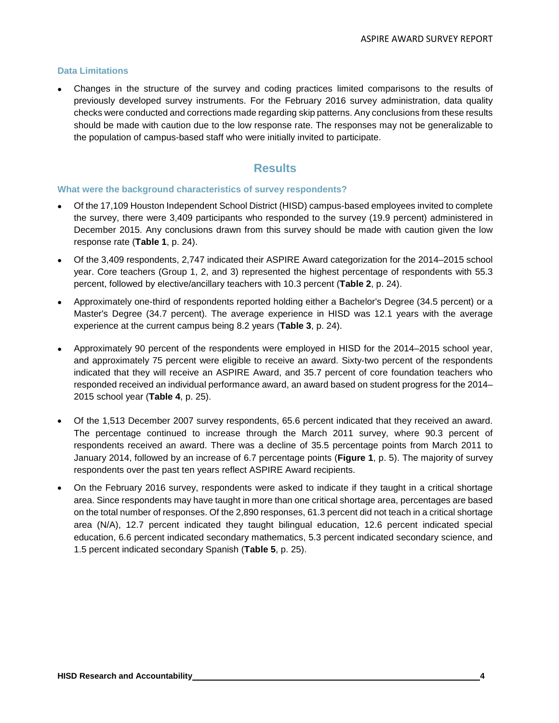### **Data Limitations**

• Changes in the structure of the survey and coding practices limited comparisons to the results of previously developed survey instruments. For the February 2016 survey administration, data quality checks were conducted and corrections made regarding skip patterns. Any conclusions from these results should be made with caution due to the low response rate. The responses may not be generalizable to the population of campus-based staff who were initially invited to participate.

# **Results**

#### **What were the background characteristics of survey respondents?**

- Of the 17,109 Houston Independent School District (HISD) campus-based employees invited to complete the survey, there were 3,409 participants who responded to the survey (19.9 percent) administered in December 2015. Any conclusions drawn from this survey should be made with caution given the low response rate (**Table 1**, p. 24).
- Of the 3,409 respondents, 2,747 indicated their ASPIRE Award categorization for the 2014–2015 school year. Core teachers (Group 1, 2, and 3) represented the highest percentage of respondents with 55.3 percent, followed by elective/ancillary teachers with 10.3 percent (**Table 2**, p. 24).
- Approximately one-third of respondents reported holding either a Bachelor's Degree (34.5 percent) or a Master's Degree (34.7 percent). The average experience in HISD was 12.1 years with the average experience at the current campus being 8.2 years (**Table 3**, p. 24).
- Approximately 90 percent of the respondents were employed in HISD for the 2014–2015 school year, and approximately 75 percent were eligible to receive an award. Sixty-two percent of the respondents indicated that they will receive an ASPIRE Award, and 35.7 percent of core foundation teachers who responded received an individual performance award, an award based on student progress for the 2014– 2015 school year (**Table 4**, p. 25).
- Of the 1,513 December 2007 survey respondents, 65.6 percent indicated that they received an award. The percentage continued to increase through the March 2011 survey, where 90.3 percent of respondents received an award. There was a decline of 35.5 percentage points from March 2011 to January 2014, followed by an increase of 6.7 percentage points (**Figure 1**, p. 5). The majority of survey respondents over the past ten years reflect ASPIRE Award recipients.
- On the February 2016 survey, respondents were asked to indicate if they taught in a critical shortage area. Since respondents may have taught in more than one critical shortage area, percentages are based on the total number of responses. Of the 2,890 responses, 61.3 percent did not teach in a critical shortage area (N/A), 12.7 percent indicated they taught bilingual education, 12.6 percent indicated special education, 6.6 percent indicated secondary mathematics, 5.3 percent indicated secondary science, and 1.5 percent indicated secondary Spanish (**Table 5**, p. 25).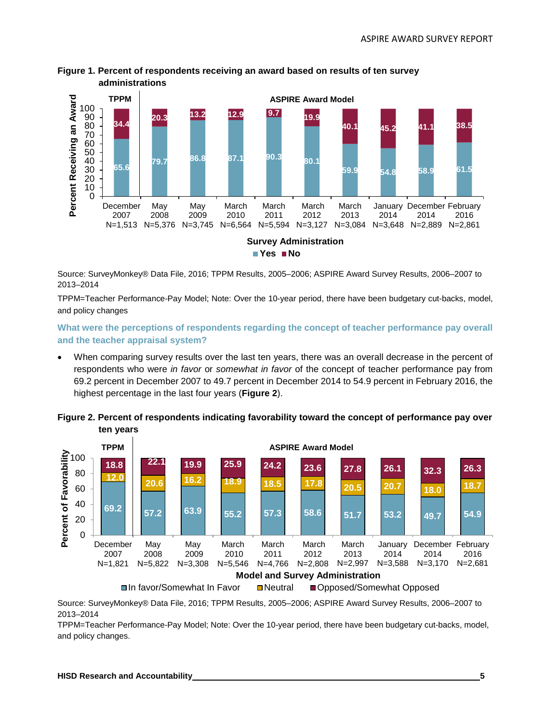

## **Figure 1. Percent of respondents receiving an award based on results of ten survey administrations**

Source: SurveyMonkey® Data File, 2016; TPPM Results, 2005–2006; ASPIRE Award Survey Results, 2006–2007 to 2013–2014

TPPM=Teacher Performance-Pay Model; Note: Over the 10-year period, there have been budgetary cut-backs, model, and policy changes

**What were the perceptions of respondents regarding the concept of teacher performance pay overall and the teacher appraisal system?**

• When comparing survey results over the last ten years, there was an overall decrease in the percent of respondents who were *in favor* or *somewhat in favor* of the concept of teacher performance pay from 69.2 percent in December 2007 to 49.7 percent in December 2014 to 54.9 percent in February 2016, the highest percentage in the last four years (**Figure 2**).





Source: SurveyMonkey® Data File, 2016; TPPM Results, 2005–2006; ASPIRE Award Survey Results, 2006–2007 to 2013–2014

TPPM=Teacher Performance-Pay Model; Note: Over the 10-year period, there have been budgetary cut-backs, model, and policy changes.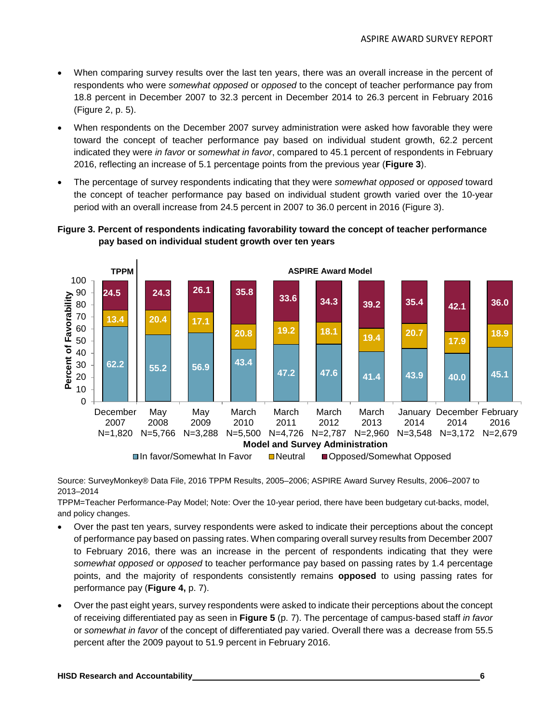- When comparing survey results over the last ten years, there was an overall increase in the percent of respondents who were *somewhat opposed* or *opposed* to the concept of teacher performance pay from 18.8 percent in December 2007 to 32.3 percent in December 2014 to 26.3 percent in February 2016 (Figure 2, p. 5).
- When respondents on the December 2007 survey administration were asked how favorable they were toward the concept of teacher performance pay based on individual student growth, 62.2 percent indicated they were *in favor* or *somewhat in favor*, compared to 45.1 percent of respondents in February 2016, reflecting an increase of 5.1 percentage points from the previous year (**Figure 3**).
- The percentage of survey respondents indicating that they were *somewhat opposed* or *opposed* toward the concept of teacher performance pay based on individual student growth varied over the 10-year period with an overall increase from 24.5 percent in 2007 to 36.0 percent in 2016 (Figure 3).



## **Figure 3. Percent of respondents indicating favorability toward the concept of teacher performance pay based on individual student growth over ten years**

Source: SurveyMonkey® Data File, 2016 TPPM Results, 2005–2006; ASPIRE Award Survey Results, 2006–2007 to 2013–2014

TPPM=Teacher Performance-Pay Model; Note: Over the 10-year period, there have been budgetary cut-backs, model, and policy changes.

- Over the past ten years, survey respondents were asked to indicate their perceptions about the concept of performance pay based on passing rates. When comparing overall survey results from December 2007 to February 2016, there was an increase in the percent of respondents indicating that they were *somewhat opposed* or *opposed* to teacher performance pay based on passing rates by 1.4 percentage points, and the majority of respondents consistently remains **opposed** to using passing rates for performance pay (**Figure 4,** p. 7).
- Over the past eight years, survey respondents were asked to indicate their perceptions about the concept of receiving differentiated pay as seen in **Figure 5** (p. 7). The percentage of campus-based staff *in favor* or *somewhat in favor* of the concept of differentiated pay varied. Overall there was a decrease from 55.5 percent after the 2009 payout to 51.9 percent in February 2016.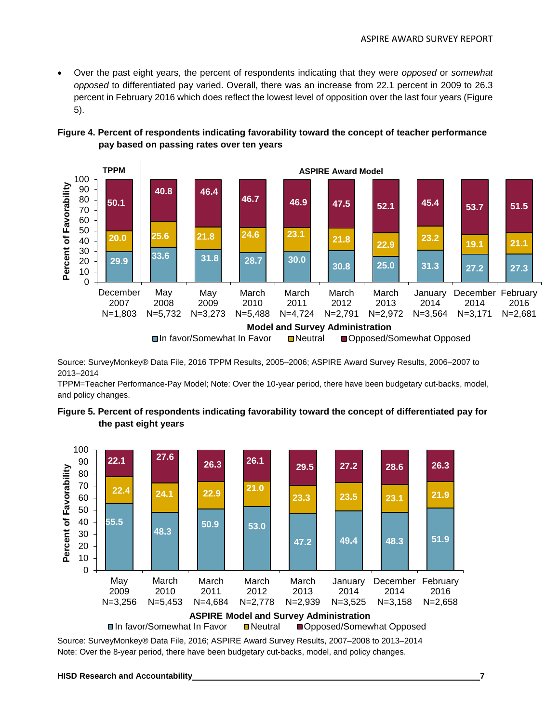• Over the past eight years, the percent of respondents indicating that they were *opposed* or *somewhat opposed* to differentiated pay varied. Overall, there was an increase from 22.1 percent in 2009 to 26.3 percent in February 2016 which does reflect the lowest level of opposition over the last four years (Figure 5).



## **Figure 4. Percent of respondents indicating favorability toward the concept of teacher performance pay based on passing rates over ten years**

Source: SurveyMonkey® Data File, 2016 TPPM Results, 2005–2006; ASPIRE Award Survey Results, 2006–2007 to 2013–2014

TPPM=Teacher Performance-Pay Model; Note: Over the 10-year period, there have been budgetary cut-backs, model, and policy changes.





Source: SurveyMonkey® Data File, 2016; ASPIRE Award Survey Results, 2007–2008 to 2013–2014 Note: Over the 8-year period, there have been budgetary cut-backs, model, and policy changes.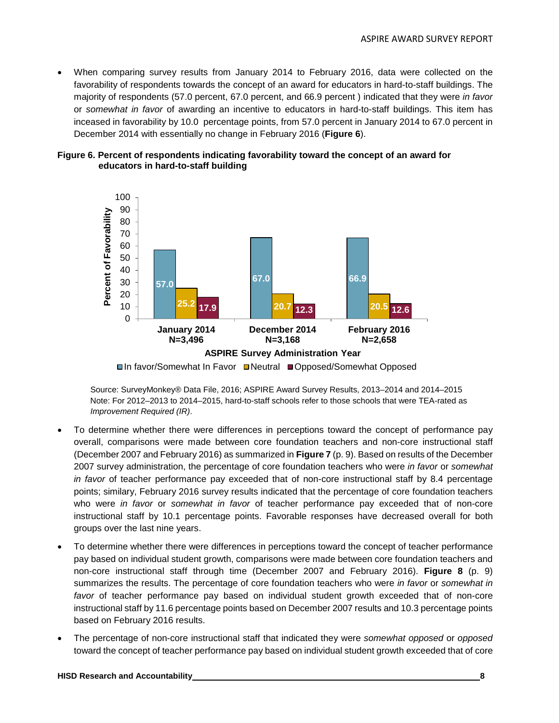• When comparing survey results from January 2014 to February 2016, data were collected on the favorability of respondents towards the concept of an award for educators in hard-to-staff buildings. The majority of respondents (57.0 percent, 67.0 percent, and 66.9 percent ) indicated that they were *in favor* or *somewhat in favor* of awarding an incentive to educators in hard-to-staff buildings. This item has inceased in favorability by 10.0 percentage points, from 57.0 percent in January 2014 to 67.0 percent in December 2014 with essentially no change in February 2016 (**Figure 6**).





**■In favor/Somewhat In Favor ■Neutral ■Opposed/Somewhat Opposed** 

Source: SurveyMonkey® Data File, 2016; ASPIRE Award Survey Results, 2013–2014 and 2014–2015 Note: For 2012–2013 to 2014–2015, hard-to-staff schools refer to those schools that were TEA-rated as *Improvement Required (IR)*.

- To determine whether there were differences in perceptions toward the concept of performance pay overall, comparisons were made between core foundation teachers and non-core instructional staff (December 2007 and February 2016) as summarized in **Figure 7** (p. 9). Based on results of the December 2007 survey administration, the percentage of core foundation teachers who were *in favor* or *somewhat in favor* of teacher performance pay exceeded that of non-core instructional staff by 8.4 percentage points; similary, February 2016 survey results indicated that the percentage of core foundation teachers who were *in favor* or *somewhat in favor* of teacher performance pay exceeded that of non-core instructional staff by 10.1 percentage points. Favorable responses have decreased overall for both groups over the last nine years.
- To determine whether there were differences in perceptions toward the concept of teacher performance pay based on individual student growth, comparisons were made between core foundation teachers and non-core instructional staff through time (December 2007 and February 2016). **Figure 8** (p. 9) summarizes the results. The percentage of core foundation teachers who were *in favor* or *somewhat in favor* of teacher performance pay based on individual student growth exceeded that of non-core instructional staff by 11.6 percentage points based on December 2007 results and 10.3 percentage points based on February 2016 results.
- The percentage of non-core instructional staff that indicated they were *somewhat opposed* or *opposed* toward the concept of teacher performance pay based on individual student growth exceeded that of core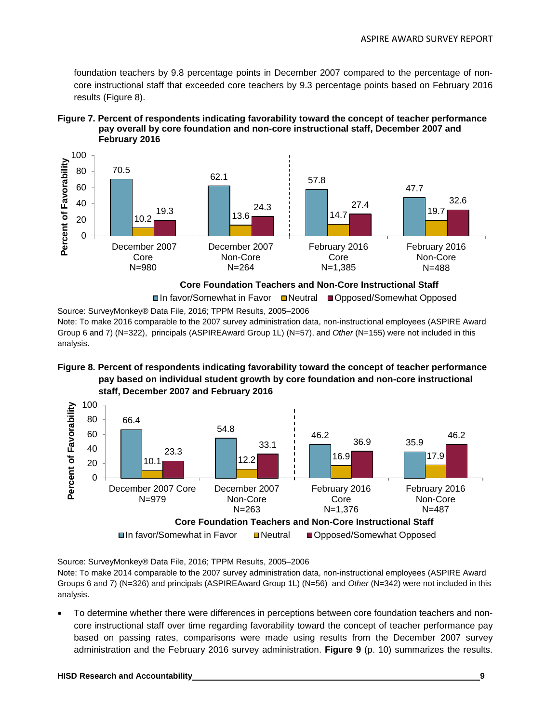foundation teachers by 9.8 percentage points in December 2007 compared to the percentage of noncore instructional staff that exceeded core teachers by 9.3 percentage points based on February 2016 results (Figure 8).





**Core Foundation Teachers and Non-Core Instructional Staff**

Source: SurveyMonkey® Data File, 2016; TPPM Results, 2005–2006 **□In favor/Somewhat in Favor □Neutral ■Opposed/Somewhat Opposed** 

Note: To make 2016 comparable to the 2007 survey administration data, non-instructional employees (ASPIRE Award Group 6 and 7) (N=322), principals (ASPIREAward Group 1L) (N=57), and *Other* (N=155) were not included in this analysis.





Source: SurveyMonkey® Data File, 2016; TPPM Results, 2005–2006

Note: To make 2014 comparable to the 2007 survey administration data, non-instructional employees (ASPIRE Award Groups 6 and 7) (N=326) and principals (ASPIREAward Group 1L) (N=56) and *Other* (N=342) were not included in this analysis.

• To determine whether there were differences in perceptions between core foundation teachers and noncore instructional staff over time regarding favorability toward the concept of teacher performance pay based on passing rates, comparisons were made using results from the December 2007 survey administration and the February 2016 survey administration. **Figure 9** (p. 10) summarizes the results.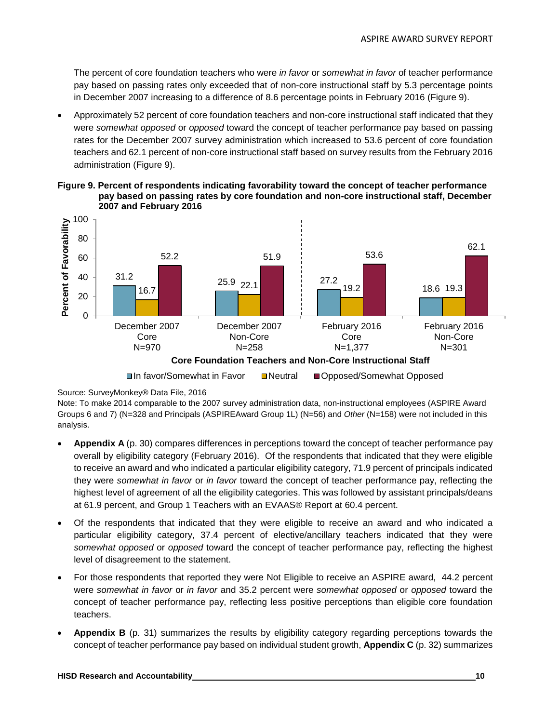The percent of core foundation teachers who were *in favor* or *somewhat in favor* of teacher performance pay based on passing rates only exceeded that of non-core instructional staff by 5.3 percentage points in December 2007 increasing to a difference of 8.6 percentage points in February 2016 (Figure 9).

• Approximately 52 percent of core foundation teachers and non-core instructional staff indicated that they were *somewhat opposed* or *opposed* toward the concept of teacher performance pay based on passing rates for the December 2007 survey administration which increased to 53.6 percent of core foundation teachers and 62.1 percent of non-core instructional staff based on survey results from the February 2016 administration (Figure 9).





**□In favor/Somewhat in Favor Deutral Opposed/Somewhat Opposed** 

Note: To make 2014 comparable to the 2007 survey administration data, non-instructional employees (ASPIRE Award Groups 6 and 7) (N=328 and Principals (ASPIREAward Group 1L) (N=56) and *Other* (N=158) were not included in this analysis.

- **Appendix A** (p. 30) compares differences in perceptions toward the concept of teacher performance pay overall by eligibility category (February 2016). Of the respondents that indicated that they were eligible to receive an award and who indicated a particular eligibility category, 71.9 percent of principals indicated they were *somewhat in favor* or *in favor* toward the concept of teacher performance pay, reflecting the highest level of agreement of all the eligibility categories. This was followed by assistant principals/deans at 61.9 percent, and Group 1 Teachers with an EVAAS® Report at 60.4 percent.
- Of the respondents that indicated that they were eligible to receive an award and who indicated a particular eligibility category, 37.4 percent of elective/ancillary teachers indicated that they were *somewhat opposed* or *opposed* toward the concept of teacher performance pay, reflecting the highest level of disagreement to the statement.
- For those respondents that reported they were Not Eligible to receive an ASPIRE award, 44.2 percent were *somewhat in favor* or *in favor* and 35.2 percent were *somewhat opposed* or *opposed* toward the concept of teacher performance pay, reflecting less positive perceptions than eligible core foundation teachers.
- **Appendix B** (p. 31) summarizes the results by eligibility category regarding perceptions towards the concept of teacher performance pay based on individual student growth, **Appendix C** (p. 32) summarizes

Source: SurveyMonkey® Data File, 2016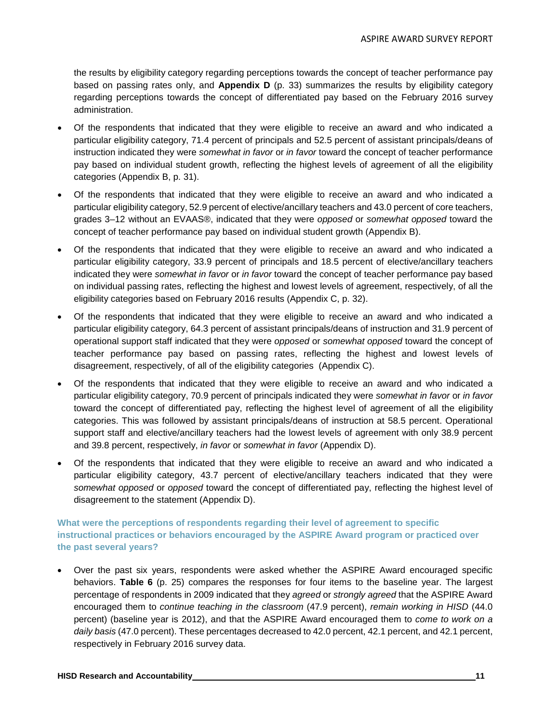the results by eligibility category regarding perceptions towards the concept of teacher performance pay based on passing rates only, and **Appendix D** (p. 33) summarizes the results by eligibility category regarding perceptions towards the concept of differentiated pay based on the February 2016 survey administration.

- Of the respondents that indicated that they were eligible to receive an award and who indicated a particular eligibility category, 71.4 percent of principals and 52.5 percent of assistant principals/deans of instruction indicated they were *somewhat in favor* or *in favor* toward the concept of teacher performance pay based on individual student growth, reflecting the highest levels of agreement of all the eligibility categories (Appendix B, p. 31).
- Of the respondents that indicated that they were eligible to receive an award and who indicated a particular eligibility category, 52.9 percent of elective/ancillary teachers and 43.0 percent of core teachers, grades 3–12 without an EVAAS®, indicated that they were *opposed* or *somewhat opposed* toward the concept of teacher performance pay based on individual student growth (Appendix B).
- Of the respondents that indicated that they were eligible to receive an award and who indicated a particular eligibility category, 33.9 percent of principals and 18.5 percent of elective/ancillary teachers indicated they were *somewhat in favor* or *in favor* toward the concept of teacher performance pay based on individual passing rates, reflecting the highest and lowest levels of agreement, respectively, of all the eligibility categories based on February 2016 results (Appendix C, p. 32).
- Of the respondents that indicated that they were eligible to receive an award and who indicated a particular eligibility category, 64.3 percent of assistant principals/deans of instruction and 31.9 percent of operational support staff indicated that they were *opposed* or *somewhat opposed* toward the concept of teacher performance pay based on passing rates, reflecting the highest and lowest levels of disagreement, respectively, of all of the eligibility categories (Appendix C).
- Of the respondents that indicated that they were eligible to receive an award and who indicated a particular eligibility category, 70.9 percent of principals indicated they were *somewhat in favor* or *in favor* toward the concept of differentiated pay, reflecting the highest level of agreement of all the eligibility categories. This was followed by assistant principals/deans of instruction at 58.5 percent. Operational support staff and elective/ancillary teachers had the lowest levels of agreement with only 38.9 percent and 39.8 percent, respectively, *in favor* or *somewhat in favor* (Appendix D).
- Of the respondents that indicated that they were eligible to receive an award and who indicated a particular eligibility category, 43.7 percent of elective/ancillary teachers indicated that they were *somewhat opposed* or *opposed* toward the concept of differentiated pay, reflecting the highest level of disagreement to the statement (Appendix D).

## **What were the perceptions of respondents regarding their level of agreement to specific instructional practices or behaviors encouraged by the ASPIRE Award program or practiced over the past several years?**

• Over the past six years, respondents were asked whether the ASPIRE Award encouraged specific behaviors. **Table 6** (p. 25) compares the responses for four items to the baseline year. The largest percentage of respondents in 2009 indicated that they *agreed* or *strongly agreed* that the ASPIRE Award encouraged them to *continue teaching in the classroom* (47.9 percent), *remain working in HISD* (44.0 percent) (baseline year is 2012), and that the ASPIRE Award encouraged them to *come to work on a daily basis* (47.0 percent). These percentages decreased to 42.0 percent, 42.1 percent, and 42.1 percent, respectively in February 2016 survey data.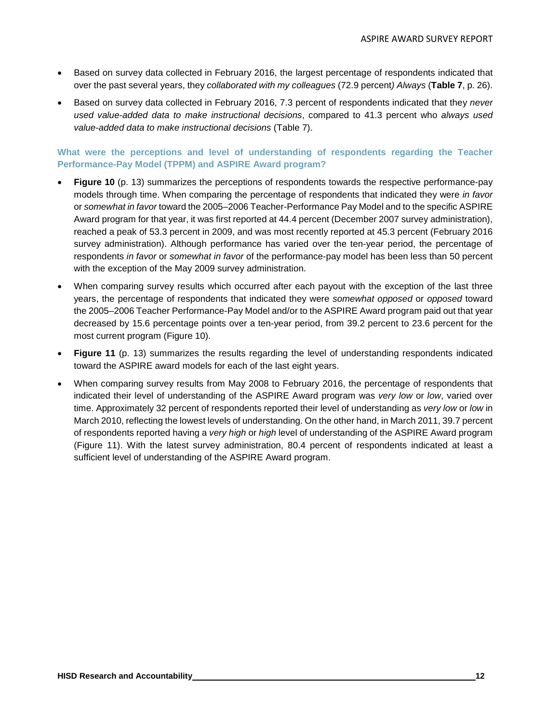- Based on survey data collected in February 2016, the largest percentage of respondents indicated that over the past several years, they *collaborated with my colleagues* (72.9 percent*) Always* (**Table 7**, p. 26).
- Based on survey data collected in February 2016, 7.3 percent of respondents indicated that they *never used value-added data to make instructional decisions*, compared to 41.3 percent who *always used value-added data to make instructional decisions* (Table 7).

## **What were the perceptions and level of understanding of respondents regarding the Teacher Performance-Pay Model (TPPM) and ASPIRE Award program?**

- **Figure 10** (p. 13) summarizes the perceptions of respondents towards the respective performance-pay models through time. When comparing the percentage of respondents that indicated they were *in favor*  or *somewhat in favor* toward the 2005–2006 Teacher-Performance Pay Model and to the specific ASPIRE Award program for that year, it was first reported at 44.4 percent (December 2007 survey administration), reached a peak of 53.3 percent in 2009, and was most recently reported at 45.3 percent (February 2016 survey administration). Although performance has varied over the ten-year period, the percentage of respondents *in favor* or *somewhat in favor* of the performance-pay model has been less than 50 percent with the exception of the May 2009 survey administration.
- When comparing survey results which occurred after each payout with the exception of the last three years, the percentage of respondents that indicated they were *somewhat opposed* or *opposed* toward the 2005–2006 Teacher Performance-Pay Model and/or to the ASPIRE Award program paid out that year decreased by 15.6 percentage points over a ten-year period, from 39.2 percent to 23.6 percent for the most current program (Figure 10).
- **Figure 11** (p. 13) summarizes the results regarding the level of understanding respondents indicated toward the ASPIRE award models for each of the last eight years.
- When comparing survey results from May 2008 to February 2016, the percentage of respondents that indicated their level of understanding of the ASPIRE Award program was *very low* or *low*, varied over time. Approximately 32 percent of respondents reported their level of understanding as *very low* or *low* in March 2010, reflecting the lowest levels of understanding. On the other hand, in March 2011, 39.7 percent of respondents reported having a *very high* or *high* level of understanding of the ASPIRE Award program (Figure 11). With the latest survey administration, 80.4 percent of respondents indicated at least a sufficient level of understanding of the ASPIRE Award program.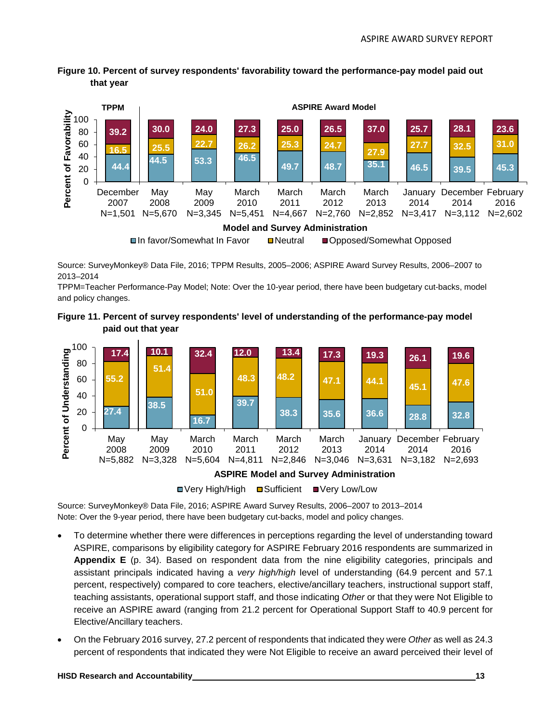**Figure 10. Percent of survey respondents' favorability toward the performance-pay model paid out that year**



Source: SurveyMonkey® Data File, 2016; TPPM Results, 2005–2006; ASPIRE Award Survey Results, 2006–2007 to 2013–2014

TPPM=Teacher Performance-Pay Model; Note: Over the 10-year period, there have been budgetary cut-backs, model and policy changes.

**Figure 11. Percent of survey respondents' level of understanding of the performance-pay model paid out that year**



■ Very High/High ■ Sufficient ■ Very Low/Low

Source: SurveyMonkey® Data File, 2016; ASPIRE Award Survey Results, 2006–2007 to 2013–2014 Note: Over the 9-year period, there have been budgetary cut-backs, model and policy changes.

- To determine whether there were differences in perceptions regarding the level of understanding toward ASPIRE, comparisons by eligibility category for ASPIRE February 2016 respondents are summarized in **Appendix E** (p. 34). Based on respondent data from the nine eligibility categories, principals and assistant principals indicated having a *very high/high* level of understanding (64.9 percent and 57.1 percent, respectively) compared to core teachers, elective/ancillary teachers, instructional support staff, teaching assistants, operational support staff, and those indicating *Other* or that they were Not Eligible to receive an ASPIRE award (ranging from 21.2 percent for Operational Support Staff to 40.9 percent for Elective/Ancillary teachers.
- On the February 2016 survey, 27.2 percent of respondents that indicated they were *Other* as well as 24.3 percent of respondents that indicated they were Not Eligible to receive an award perceived their level of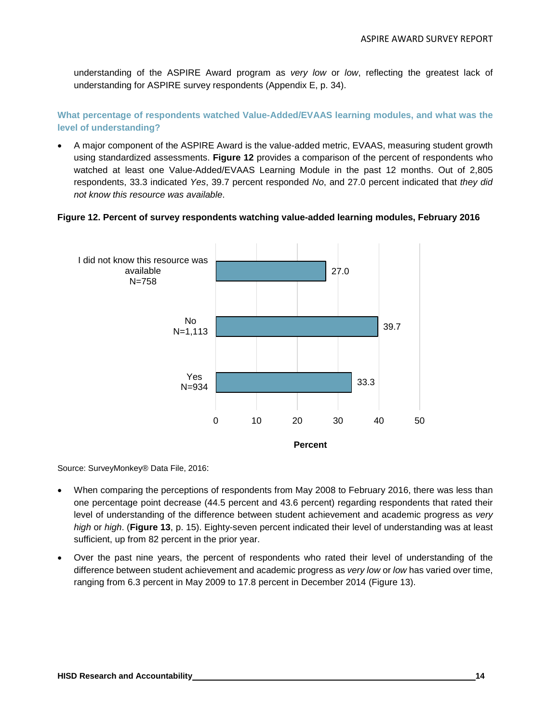understanding of the ASPIRE Award program as *very low* or *low*, reflecting the greatest lack of understanding for ASPIRE survey respondents (Appendix E, p. 34).

**What percentage of respondents watched Value-Added/EVAAS learning modules, and what was the level of understanding?**

• A major component of the ASPIRE Award is the value-added metric, EVAAS, measuring student growth using standardized assessments. **Figure 12** provides a comparison of the percent of respondents who watched at least one Value-Added/EVAAS Learning Module in the past 12 months. Out of 2,805 respondents, 33.3 indicated *Yes*, 39.7 percent responded *No*, and 27.0 percent indicated that *they did not know this resource was available*.

#### **Figure 12. Percent of survey respondents watching value-added learning modules, February 2016**



Source: SurveyMonkey® Data File, 2016:

- When comparing the perceptions of respondents from May 2008 to February 2016, there was less than one percentage point decrease (44.5 percent and 43.6 percent) regarding respondents that rated their level of understanding of the difference between student achievement and academic progress as *very high* or *high*. (**Figure 13**, p. 15). Eighty-seven percent indicated their level of understanding was at least sufficient, up from 82 percent in the prior year.
- Over the past nine years, the percent of respondents who rated their level of understanding of the difference between student achievement and academic progress as *very low* or *low* has varied over time, ranging from 6.3 percent in May 2009 to 17.8 percent in December 2014 (Figure 13).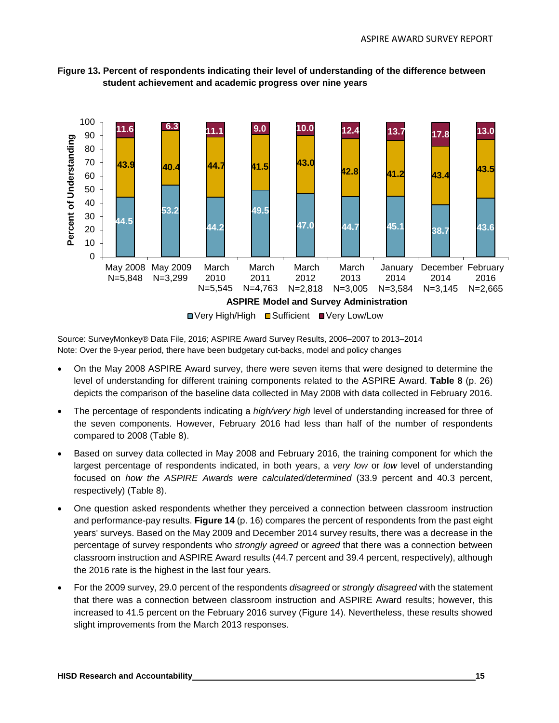

**Figure 13. Percent of respondents indicating their level of understanding of the difference between student achievement and academic progress over nine years**

Source: SurveyMonkey® Data File, 2016; ASPIRE Award Survey Results, 2006–2007 to 2013–2014 Note: Over the 9-year period, there have been budgetary cut-backs, model and policy changes

- On the May 2008 ASPIRE Award survey, there were seven items that were designed to determine the level of understanding for different training components related to the ASPIRE Award. **Table 8** (p. 26) depicts the comparison of the baseline data collected in May 2008 with data collected in February 2016.
- The percentage of respondents indicating a *high/very high* level of understanding increased for three of the seven components. However, February 2016 had less than half of the number of respondents compared to 2008 (Table 8).
- Based on survey data collected in May 2008 and February 2016, the training component for which the largest percentage of respondents indicated, in both years, a *very low* or *low* level of understanding focused on *how the ASPIRE Awards were calculated/determined* (33.9 percent and 40.3 percent, respectively) (Table 8).
- One question asked respondents whether they perceived a connection between classroom instruction and performance-pay results. **Figure 14** (p. 16) compares the percent of respondents from the past eight years' surveys. Based on the May 2009 and December 2014 survey results, there was a decrease in the percentage of survey respondents who *strongly agreed* or *agreed* that there was a connection between classroom instruction and ASPIRE Award results (44.7 percent and 39.4 percent, respectively), although the 2016 rate is the highest in the last four years.
- For the 2009 survey, 29.0 percent of the respondents *disagreed* or *strongly disagreed* with the statement that there was a connection between classroom instruction and ASPIRE Award results; however, this increased to 41.5 percent on the February 2016 survey (Figure 14). Nevertheless, these results showed slight improvements from the March 2013 responses.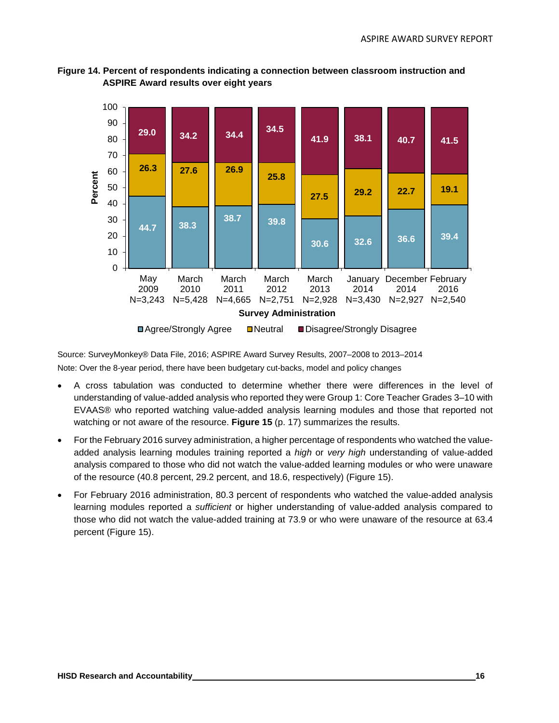

**Figure 14. Percent of respondents indicating a connection between classroom instruction and ASPIRE Award results over eight years**

**□ Agree/Strongly Agree II Neutral II Disagree/Strongly Disagree** 

**Survey Administration**

Source: SurveyMonkey® Data File, 2016; ASPIRE Award Survey Results, 2007–2008 to 2013–2014

Note: Over the 8-year period, there have been budgetary cut-backs, model and policy changes

- A cross tabulation was conducted to determine whether there were differences in the level of understanding of value-added analysis who reported they were Group 1: Core Teacher Grades 3–10 with EVAAS® who reported watching value-added analysis learning modules and those that reported not watching or not aware of the resource. **Figure 15** (p. 17) summarizes the results.
- For the February 2016 survey administration, a higher percentage of respondents who watched the valueadded analysis learning modules training reported a *high* or *very high* understanding of value-added analysis compared to those who did not watch the value-added learning modules or who were unaware of the resource (40.8 percent, 29.2 percent, and 18.6, respectively) (Figure 15).
- For February 2016 administration, 80.3 percent of respondents who watched the value-added analysis learning modules reported a *sufficient* or higher understanding of value-added analysis compared to those who did not watch the value-added training at 73.9 or who were unaware of the resource at 63.4 percent (Figure 15).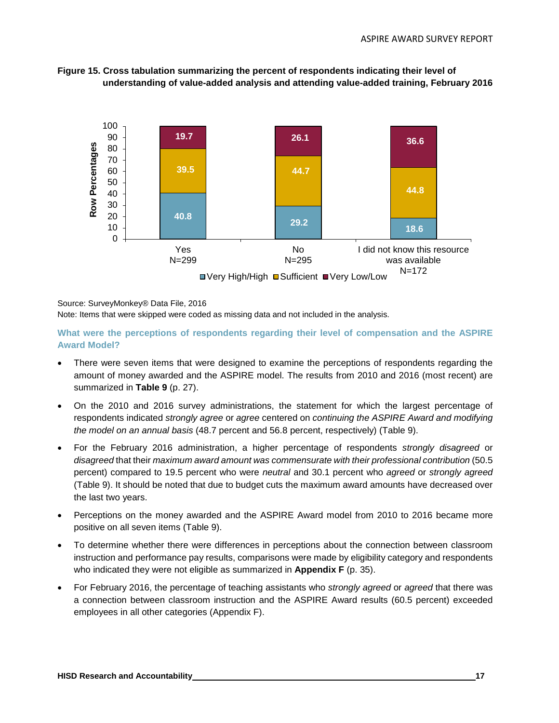



#### Source: SurveyMonkey® Data File, 2016

Note: Items that were skipped were coded as missing data and not included in the analysis.

**What were the perceptions of respondents regarding their level of compensation and the ASPIRE Award Model?**

- There were seven items that were designed to examine the perceptions of respondents regarding the amount of money awarded and the ASPIRE model. The results from 2010 and 2016 (most recent) are summarized in **Table 9** (p. 27).
- On the 2010 and 2016 survey administrations, the statement for which the largest percentage of respondents indicated *strongly agree* or *agree* centered on *continuing the ASPIRE Award and modifying the model on an annual basis* (48.7 percent and 56.8 percent, respectively) (Table 9).
- For the February 2016 administration, a higher percentage of respondents *strongly disagreed* or *disagreed* that their *maximum award amount was commensurate with their professional contribution* (50.5 percent) compared to 19.5 percent who were *neutral* and 30.1 percent who *agreed* or *strongly agreed* (Table 9). It should be noted that due to budget cuts the maximum award amounts have decreased over the last two years.
- Perceptions on the money awarded and the ASPIRE Award model from 2010 to 2016 became more positive on all seven items (Table 9).
- To determine whether there were differences in perceptions about the connection between classroom instruction and performance pay results, comparisons were made by eligibility category and respondents who indicated they were not eligible as summarized in **Appendix F** (p. 35).
- For February 2016, the percentage of teaching assistants who *strongly agreed* or *agreed* that there was a connection between classroom instruction and the ASPIRE Award results (60.5 percent) exceeded employees in all other categories (Appendix F).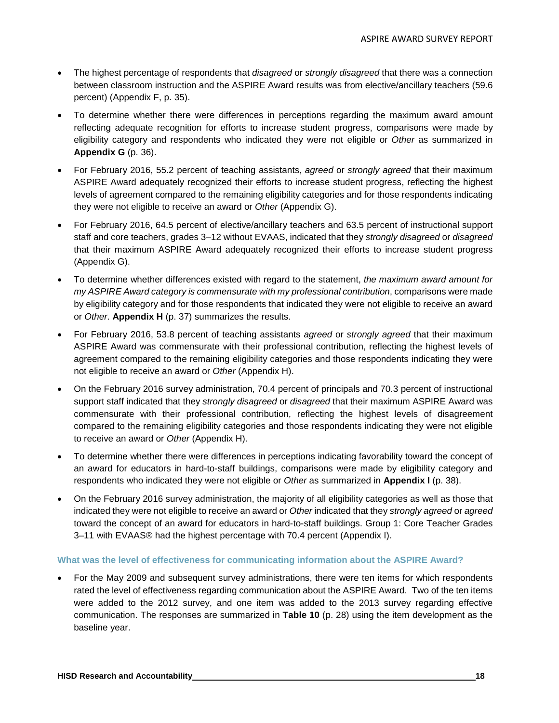- The highest percentage of respondents that *disagreed* or *strongly disagreed* that there was a connection between classroom instruction and the ASPIRE Award results was from elective/ancillary teachers (59.6 percent) (Appendix F, p. 35).
- To determine whether there were differences in perceptions regarding the maximum award amount reflecting adequate recognition for efforts to increase student progress, comparisons were made by eligibility category and respondents who indicated they were not eligible or *Other* as summarized in **Appendix G** (p. 36).
- For February 2016, 55.2 percent of teaching assistants, *agreed* or *strongly agreed* that their maximum ASPIRE Award adequately recognized their efforts to increase student progress, reflecting the highest levels of agreement compared to the remaining eligibility categories and for those respondents indicating they were not eligible to receive an award or *Other* (Appendix G).
- For February 2016, 64.5 percent of elective/ancillary teachers and 63.5 percent of instructional support staff and core teachers, grades 3–12 without EVAAS, indicated that they *strongly disagreed* or *disagreed* that their maximum ASPIRE Award adequately recognized their efforts to increase student progress (Appendix G).
- To determine whether differences existed with regard to the statement, *the maximum award amount for my ASPIRE Award category is commensurate with my professional contribution*, comparisons were made by eligibility category and for those respondents that indicated they were not eligible to receive an award or *Other*. **Appendix H** (p. 37) summarizes the results.
- For February 2016, 53.8 percent of teaching assistants *agreed* or *strongly agreed* that their maximum ASPIRE Award was commensurate with their professional contribution, reflecting the highest levels of agreement compared to the remaining eligibility categories and those respondents indicating they were not eligible to receive an award or *Other* (Appendix H).
- On the February 2016 survey administration, 70.4 percent of principals and 70.3 percent of instructional support staff indicated that they *strongly disagreed* or *disagreed* that their maximum ASPIRE Award was commensurate with their professional contribution, reflecting the highest levels of disagreement compared to the remaining eligibility categories and those respondents indicating they were not eligible to receive an award or *Other* (Appendix H).
- To determine whether there were differences in perceptions indicating favorability toward the concept of an award for educators in hard-to-staff buildings, comparisons were made by eligibility category and respondents who indicated they were not eligible or *Other* as summarized in **Appendix I** (p. 38).
- On the February 2016 survey administration, the majority of all eligibility categories as well as those that indicated they were not eligible to receive an award or *Other* indicated that they *strongly agreed* or *agreed* toward the concept of an award for educators in hard-to-staff buildings. Group 1: Core Teacher Grades 3–11 with EVAAS® had the highest percentage with 70.4 percent (Appendix I).

## **What was the level of effectiveness for communicating information about the ASPIRE Award?**

• For the May 2009 and subsequent survey administrations, there were ten items for which respondents rated the level of effectiveness regarding communication about the ASPIRE Award. Two of the ten items were added to the 2012 survey, and one item was added to the 2013 survey regarding effective communication. The responses are summarized in **Table 10** (p. 28) using the item development as the baseline year.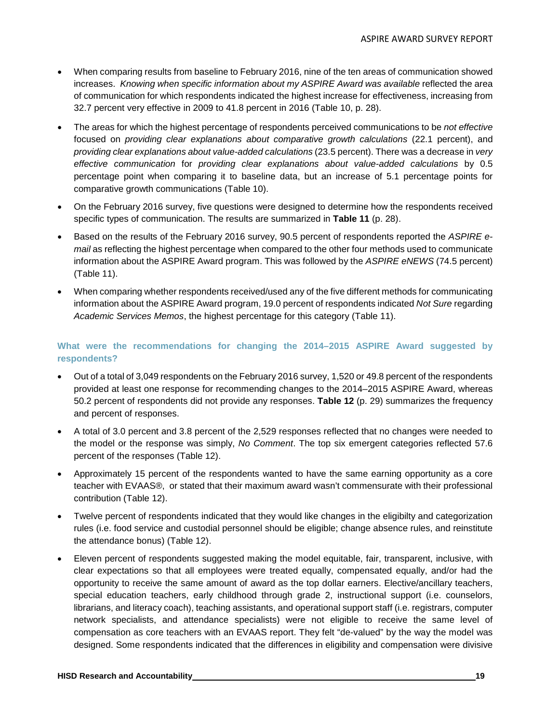- When comparing results from baseline to February 2016, nine of the ten areas of communication showed increases. *Knowing when specific information about my ASPIRE Award was available* reflected the area of communication for which respondents indicated the highest increase for effectiveness, increasing from 32.7 percent very effective in 2009 to 41.8 percent in 2016 (Table 10, p. 28).
- The areas for which the highest percentage of respondents perceived communications to be *not effective* focused on *providing clear explanations about comparative growth calculations* (22.1 percent), and *providing clear explanations about value-added calculations* (23.5 percent). There was a decrease in *very effective communication* for *providing clear explanations about value-added calculations* by 0.5 percentage point when comparing it to baseline data, but an increase of 5.1 percentage points for comparative growth communications (Table 10).
- On the February 2016 survey, five questions were designed to determine how the respondents received specific types of communication. The results are summarized in **Table 11** (p. 28).
- Based on the results of the February 2016 survey, 90.5 percent of respondents reported the *ASPIRE email* as reflecting the highest percentage when compared to the other four methods used to communicate information about the ASPIRE Award program. This was followed by the *ASPIRE eNEWS* (74.5 percent) (Table 11).
- When comparing whether respondents received/used any of the five different methods for communicating information about the ASPIRE Award program, 19.0 percent of respondents indicated *Not Sure* regarding *Academic Services Memos*, the highest percentage for this category (Table 11).

## **What were the recommendations for changing the 2014–2015 ASPIRE Award suggested by respondents?**

- Out of a total of 3,049 respondents on the February 2016 survey, 1,520 or 49.8 percent of the respondents provided at least one response for recommending changes to the 2014–2015 ASPIRE Award, whereas 50.2 percent of respondents did not provide any responses. **Table 12** (p. 29) summarizes the frequency and percent of responses.
- A total of 3.0 percent and 3.8 percent of the 2,529 responses reflected that no changes were needed to the model or the response was simply, *No Comment*. The top six emergent categories reflected 57.6 percent of the responses (Table 12).
- Approximately 15 percent of the respondents wanted to have the same earning opportunity as a core teacher with EVAAS®, or stated that their maximum award wasn't commensurate with their professional contribution (Table 12).
- Twelve percent of respondents indicated that they would like changes in the eligibilty and categorization rules (i.e. food service and custodial personnel should be eligible; change absence rules, and reinstitute the attendance bonus) (Table 12).
- Eleven percent of respondents suggested making the model equitable, fair, transparent, inclusive, with clear expectations so that all employees were treated equally, compensated equally, and/or had the opportunity to receive the same amount of award as the top dollar earners. Elective/ancillary teachers, special education teachers, early childhood through grade 2, instructional support (i.e. counselors, librarians, and literacy coach), teaching assistants, and operational support staff (i.e. registrars, computer network specialists, and attendance specialists) were not eligible to receive the same level of compensation as core teachers with an EVAAS report. They felt "de-valued" by the way the model was designed. Some respondents indicated that the differences in eligibility and compensation were divisive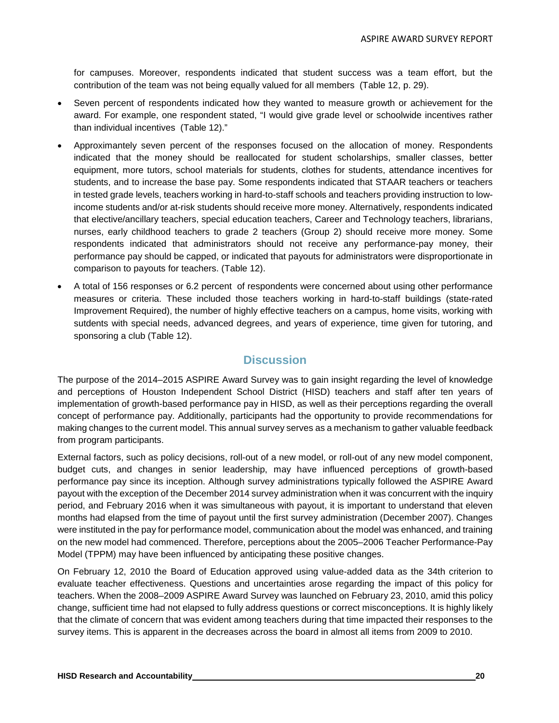for campuses. Moreover, respondents indicated that student success was a team effort, but the contribution of the team was not being equally valued for all members (Table 12, p. 29).

- Seven percent of respondents indicated how they wanted to measure growth or achievement for the award. For example, one respondent stated, "I would give grade level or schoolwide incentives rather than individual incentives (Table 12)."
- Approximantely seven percent of the responses focused on the allocation of money. Respondents indicated that the money should be reallocated for student scholarships, smaller classes, better equipment, more tutors, school materials for students, clothes for students, attendance incentives for students, and to increase the base pay. Some respondents indicated that STAAR teachers or teachers in tested grade levels, teachers working in hard-to-staff schools and teachers providing instruction to lowincome students and/or at-risk students should receive more money. Alternatively, respondents indicated that elective/ancillary teachers, special education teachers, Career and Technology teachers, librarians, nurses, early childhood teachers to grade 2 teachers (Group 2) should receive more money. Some respondents indicated that administrators should not receive any performance-pay money, their performance pay should be capped, or indicated that payouts for administrators were disproportionate in comparison to payouts for teachers. (Table 12).
- A total of 156 responses or 6.2 percent of respondents were concerned about using other performance measures or criteria. These included those teachers working in hard-to-staff buildings (state-rated Improvement Required), the number of highly effective teachers on a campus, home visits, working with sutdents with special needs, advanced degrees, and years of experience, time given for tutoring, and sponsoring a club (Table 12).

## **Discussion**

The purpose of the 2014–2015 ASPIRE Award Survey was to gain insight regarding the level of knowledge and perceptions of Houston Independent School District (HISD) teachers and staff after ten years of implementation of growth-based performance pay in HISD, as well as their perceptions regarding the overall concept of performance pay. Additionally, participants had the opportunity to provide recommendations for making changes to the current model. This annual survey serves as a mechanism to gather valuable feedback from program participants.

External factors, such as policy decisions, roll-out of a new model, or roll-out of any new model component, budget cuts, and changes in senior leadership, may have influenced perceptions of growth-based performance pay since its inception. Although survey administrations typically followed the ASPIRE Award payout with the exception of the December 2014 survey administration when it was concurrent with the inquiry period, and February 2016 when it was simultaneous with payout, it is important to understand that eleven months had elapsed from the time of payout until the first survey administration (December 2007). Changes were instituted in the pay for performance model, communication about the model was enhanced, and training on the new model had commenced. Therefore, perceptions about the 2005–2006 Teacher Performance-Pay Model (TPPM) may have been influenced by anticipating these positive changes.

On February 12, 2010 the Board of Education approved using value-added data as the 34th criterion to evaluate teacher effectiveness. Questions and uncertainties arose regarding the impact of this policy for teachers. When the 2008–2009 ASPIRE Award Survey was launched on February 23, 2010, amid this policy change, sufficient time had not elapsed to fully address questions or correct misconceptions. It is highly likely that the climate of concern that was evident among teachers during that time impacted their responses to the survey items. This is apparent in the decreases across the board in almost all items from 2009 to 2010.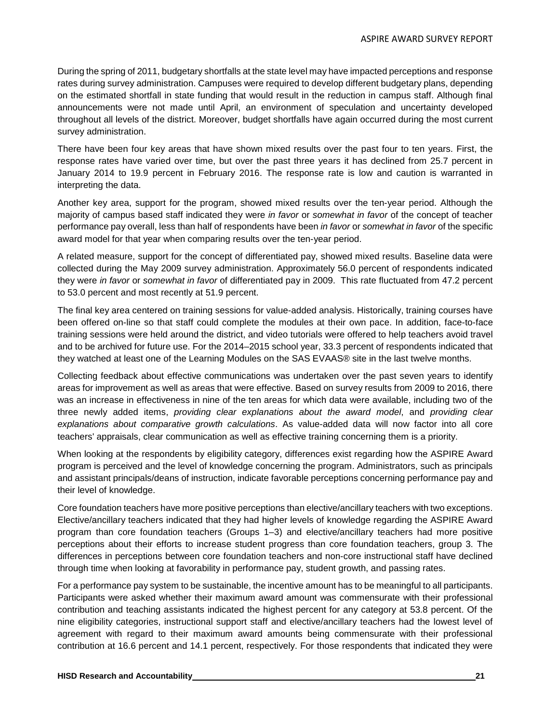During the spring of 2011, budgetary shortfalls at the state level may have impacted perceptions and response rates during survey administration. Campuses were required to develop different budgetary plans, depending on the estimated shortfall in state funding that would result in the reduction in campus staff. Although final announcements were not made until April, an environment of speculation and uncertainty developed throughout all levels of the district. Moreover, budget shortfalls have again occurred during the most current survey administration.

There have been four key areas that have shown mixed results over the past four to ten years. First, the response rates have varied over time, but over the past three years it has declined from 25.7 percent in January 2014 to 19.9 percent in February 2016. The response rate is low and caution is warranted in interpreting the data.

Another key area, support for the program, showed mixed results over the ten-year period. Although the majority of campus based staff indicated they were *in favor* or *somewhat in favor* of the concept of teacher performance pay overall, less than half of respondents have been *in favor* or *somewhat in favor* of the specific award model for that year when comparing results over the ten-year period.

A related measure, support for the concept of differentiated pay, showed mixed results. Baseline data were collected during the May 2009 survey administration. Approximately 56.0 percent of respondents indicated they were *in favor* or *somewhat in favor* of differentiated pay in 2009. This rate fluctuated from 47.2 percent to 53.0 percent and most recently at 51.9 percent.

The final key area centered on training sessions for value-added analysis. Historically, training courses have been offered on-line so that staff could complete the modules at their own pace. In addition, face-to-face training sessions were held around the district, and video tutorials were offered to help teachers avoid travel and to be archived for future use. For the 2014–2015 school year, 33.3 percent of respondents indicated that they watched at least one of the Learning Modules on the SAS EVAAS® site in the last twelve months.

Collecting feedback about effective communications was undertaken over the past seven years to identify areas for improvement as well as areas that were effective. Based on survey results from 2009 to 2016, there was an increase in effectiveness in nine of the ten areas for which data were available, including two of the three newly added items, *providing clear explanations about the award model*, and *providing clear explanations about comparative growth calculations*. As value-added data will now factor into all core teachers' appraisals, clear communication as well as effective training concerning them is a priority.

When looking at the respondents by eligibility category, differences exist regarding how the ASPIRE Award program is perceived and the level of knowledge concerning the program. Administrators, such as principals and assistant principals/deans of instruction, indicate favorable perceptions concerning performance pay and their level of knowledge.

Core foundation teachers have more positive perceptions than elective/ancillary teachers with two exceptions. Elective/ancillary teachers indicated that they had higher levels of knowledge regarding the ASPIRE Award program than core foundation teachers (Groups 1–3) and elective/ancillary teachers had more positive perceptions about their efforts to increase student progress than core foundation teachers, group 3. The differences in perceptions between core foundation teachers and non-core instructional staff have declined through time when looking at favorability in performance pay, student growth, and passing rates.

For a performance pay system to be sustainable, the incentive amount has to be meaningful to all participants. Participants were asked whether their maximum award amount was commensurate with their professional contribution and teaching assistants indicated the highest percent for any category at 53.8 percent. Of the nine eligibility categories, instructional support staff and elective/ancillary teachers had the lowest level of agreement with regard to their maximum award amounts being commensurate with their professional contribution at 16.6 percent and 14.1 percent, respectively. For those respondents that indicated they were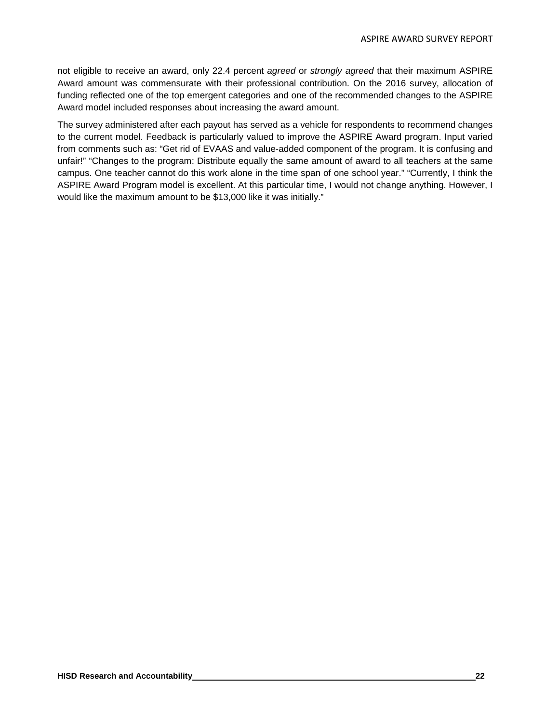not eligible to receive an award, only 22.4 percent *agreed* or *strongly agreed* that their maximum ASPIRE Award amount was commensurate with their professional contribution. On the 2016 survey, allocation of funding reflected one of the top emergent categories and one of the recommended changes to the ASPIRE Award model included responses about increasing the award amount.

The survey administered after each payout has served as a vehicle for respondents to recommend changes to the current model. Feedback is particularly valued to improve the ASPIRE Award program. Input varied from comments such as: "Get rid of EVAAS and value-added component of the program. It is confusing and unfair!" "Changes to the program: Distribute equally the same amount of award to all teachers at the same campus. One teacher cannot do this work alone in the time span of one school year." "Currently, I think the ASPIRE Award Program model is excellent. At this particular time, I would not change anything. However, I would like the maximum amount to be \$13,000 like it was initially."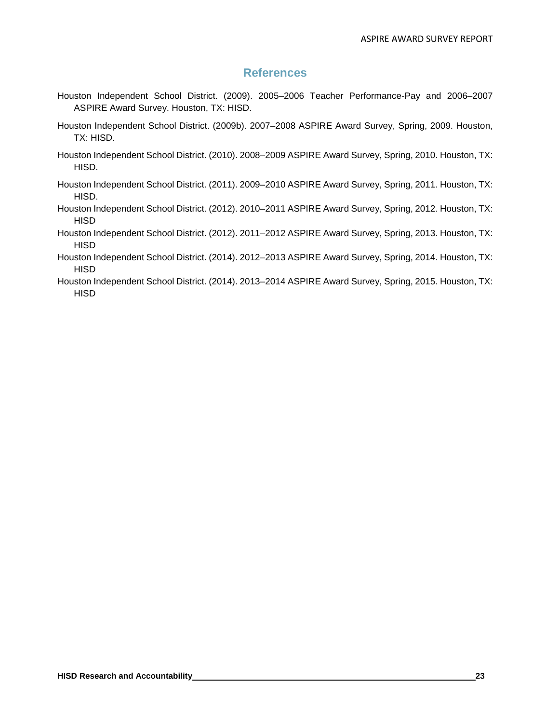# **References**

- Houston Independent School District. (2009). 2005–2006 Teacher Performance-Pay and 2006–2007 ASPIRE Award Survey. Houston, TX: HISD.
- Houston Independent School District. (2009b). 2007–2008 ASPIRE Award Survey, Spring, 2009. Houston, TX: HISD.
- Houston Independent School District. (2010). 2008–2009 ASPIRE Award Survey, Spring, 2010. Houston, TX: HISD.
- Houston Independent School District. (2011). 2009–2010 ASPIRE Award Survey, Spring, 2011. Houston, TX: HISD.
- Houston Independent School District. (2012). 2010–2011 ASPIRE Award Survey, Spring, 2012. Houston, TX: **HISD**
- Houston Independent School District. (2012). 2011–2012 ASPIRE Award Survey, Spring, 2013. Houston, TX: **HISD**
- Houston Independent School District. (2014). 2012–2013 ASPIRE Award Survey, Spring, 2014. Houston, TX: **HISD**
- Houston Independent School District. (2014). 2013–2014 ASPIRE Award Survey, Spring, 2015. Houston, TX: **HISD**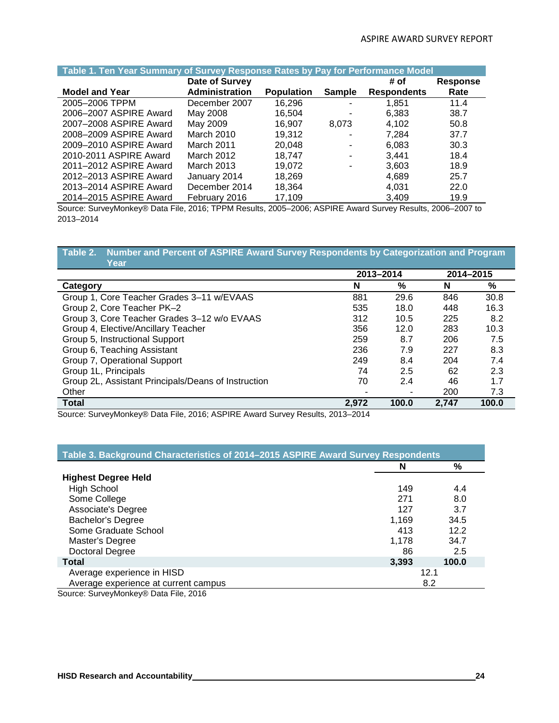| Table 1. Ten Year Summary of Survey Response Rates by Pay for Performance Model                           |                   |                   |               |                    |                 |  |  |  |  |
|-----------------------------------------------------------------------------------------------------------|-------------------|-------------------|---------------|--------------------|-----------------|--|--|--|--|
|                                                                                                           | Date of Survey    |                   |               | # of               | <b>Response</b> |  |  |  |  |
| <b>Model and Year</b>                                                                                     | Administration    | <b>Population</b> | <b>Sample</b> | <b>Respondents</b> | Rate            |  |  |  |  |
| 2005-2006 TPPM                                                                                            | December 2007     | 16,296            |               | 1,851              | 11.4            |  |  |  |  |
| 2006-2007 ASPIRE Award                                                                                    | May 2008          | 16,504            |               | 6,383              | 38.7            |  |  |  |  |
| 2007-2008 ASPIRE Award                                                                                    | May 2009          | 16.907            | 8,073         | 4,102              | 50.8            |  |  |  |  |
| 2008-2009 ASPIRE Award                                                                                    | March 2010        | 19.312            |               | 7,284              | 37.7            |  |  |  |  |
| 2009-2010 ASPIRE Award                                                                                    | March 2011        | 20,048            |               | 6,083              | 30.3            |  |  |  |  |
| 2010-2011 ASPIRE Award                                                                                    | March 2012        | 18.747            |               | 3,441              | 18.4            |  |  |  |  |
| 2011-2012 ASPIRE Award                                                                                    | <b>March 2013</b> | 19.072            |               | 3,603              | 18.9            |  |  |  |  |
| 2012-2013 ASPIRE Award                                                                                    | January 2014      | 18.269            |               | 4,689              | 25.7            |  |  |  |  |
| 2013-2014 ASPIRE Award                                                                                    | December 2014     | 18,364            |               | 4,031              | 22.0            |  |  |  |  |
| 2014–2015 ASPIRE Award                                                                                    | February 2016     | 17.109            |               | 3.409              | 19.9            |  |  |  |  |
| Source: Curvey Mapkey® Data File 2016: TRDM Beaulte 2005, 2006: ASDIDE Award Survey Beaulte 2006, 2007 to |                   |                   |               |                    |                 |  |  |  |  |

Source: SurveyMonkey® Data File, 2016; TPPM Results, 2005–2006; ASPIRE Award Survey Results, 2006–2007 to 2013–2014

#### **Table 2. Number and Percent of ASPIRE Award Survey Respondents by Categorization and Program Year**

| .                                                   |       |           |       |           |
|-----------------------------------------------------|-------|-----------|-------|-----------|
|                                                     |       | 2013-2014 |       | 2014-2015 |
| Category                                            | N     | $\%$      | N     | %         |
| Group 1, Core Teacher Grades 3-11 w/EVAAS           | 881   | 29.6      | 846   | 30.8      |
| Group 2, Core Teacher PK-2                          | 535   | 18.0      | 448   | 16.3      |
| Group 3, Core Teacher Grades 3-12 w/o EVAAS         | 312   | 10.5      | 225   | 8.2       |
| Group 4, Elective/Ancillary Teacher                 | 356   | 12.0      | 283   | 10.3      |
| Group 5, Instructional Support                      | 259   | 8.7       | 206   | 7.5       |
| Group 6, Teaching Assistant                         | 236   | 7.9       | 227   | 8.3       |
| Group 7, Operational Support                        | 249   | 8.4       | 204   | 7.4       |
| Group 1L, Principals                                | 74    | 2.5       | 62    | 2.3       |
| Group 2L, Assistant Principals/Deans of Instruction | 70    | 2.4       | 46    | 1.7       |
| Other                                               |       |           | 200   | 7.3       |
| <b>Total</b>                                        | 2.972 | 100.0     | 2,747 | 100.0     |

Source: SurveyMonkey® Data File, 2016; ASPIRE Award Survey Results, 2013–2014

| Table 3. Background Characteristics of 2014-2015 ASPIRE Award Survey Respondents |       |       |  |  |  |  |  |  |
|----------------------------------------------------------------------------------|-------|-------|--|--|--|--|--|--|
|                                                                                  | N     | %     |  |  |  |  |  |  |
| <b>Highest Degree Held</b>                                                       |       |       |  |  |  |  |  |  |
| <b>High School</b>                                                               | 149   | 4.4   |  |  |  |  |  |  |
| Some College                                                                     | 271   | 8.0   |  |  |  |  |  |  |
| Associate's Degree                                                               | 127   | 3.7   |  |  |  |  |  |  |
| <b>Bachelor's Degree</b>                                                         | 1,169 | 34.5  |  |  |  |  |  |  |
| Some Graduate School                                                             | 413   | 12.2  |  |  |  |  |  |  |
| Master's Degree                                                                  | 1.178 | 34.7  |  |  |  |  |  |  |
| Doctoral Degree                                                                  | 86    | 2.5   |  |  |  |  |  |  |
| <b>Total</b>                                                                     | 3,393 | 100.0 |  |  |  |  |  |  |
| Average experience in HISD                                                       |       | 12.1  |  |  |  |  |  |  |
| Average experience at current campus                                             |       | 8.2   |  |  |  |  |  |  |
| Source: Sunroy Monkov® Data File 2016                                            |       |       |  |  |  |  |  |  |

Source: SurveyMonkey® Data File, 2016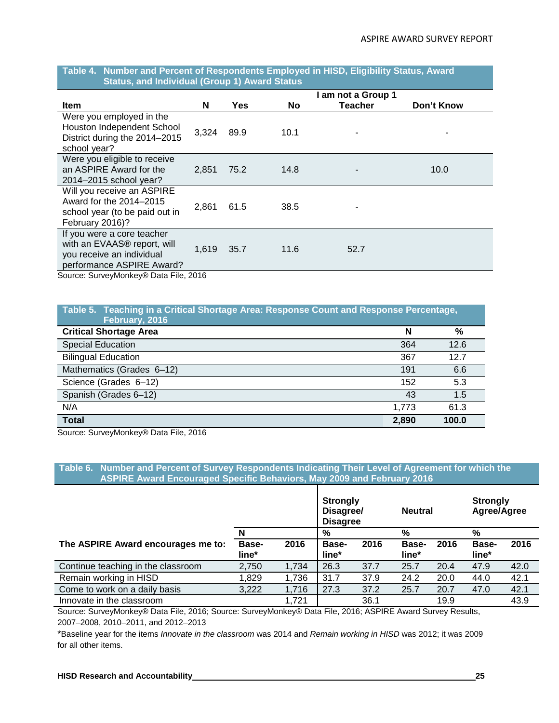#### **Table 4. Number and Percent of Respondents Employed in HISD, Eligibility Status, Award Status, and Individual (Group 1) Award Status**

|                                                                                                                                                                          |       |            |           | I am not a Group 1 |            |
|--------------------------------------------------------------------------------------------------------------------------------------------------------------------------|-------|------------|-----------|--------------------|------------|
| <b>Item</b>                                                                                                                                                              | N     | <b>Yes</b> | <b>No</b> | <b>Teacher</b>     | Don't Know |
| Were you employed in the<br>Houston Independent School<br>District during the 2014-2015<br>school year?                                                                  | 3,324 | 89.9       | 10.1      |                    |            |
| Were you eligible to receive<br>an ASPIRE Award for the<br>2014-2015 school year?                                                                                        | 2,851 | 75.2       | 14.8      |                    | 10.0       |
| Will you receive an ASPIRE<br>Award for the 2014-2015<br>school year (to be paid out in<br>February 2016)?                                                               | 2,861 | 61.5       | 38.5      |                    |            |
| If you were a core teacher<br>with an EVAAS <sup>®</sup> report, will<br>you receive an individual<br>performance ASPIRE Award?<br>Course: CuniouMentou® Data File, 2016 | 1,619 | 35.7       | 11.6      | 52.7               |            |

Source: SurveyMonkey® Data File, 2016

| Table 5. Teaching in a Critical Shortage Area: Response Count and Response Percentage,<br>February, 2016 |       |       |
|----------------------------------------------------------------------------------------------------------|-------|-------|
| <b>Critical Shortage Area</b>                                                                            | N     | %     |
| <b>Special Education</b>                                                                                 | 364   | 12.6  |
| <b>Bilingual Education</b>                                                                               | 367   | 12.7  |
| Mathematics (Grades 6-12)                                                                                | 191   | 6.6   |
| Science (Grades 6-12)                                                                                    | 152   | 5.3   |
| Spanish (Grades 6-12)                                                                                    | 43    | 1.5   |
| N/A                                                                                                      | 1,773 | 61.3  |
| <b>Total</b>                                                                                             | 2,890 | 100.0 |

Source: SurveyMonkey® Data File, 2016

#### **Table 6. Number and Percent of Survey Respondents Indicating Their Level of Agreement for which the ASPIRE Award Encouraged Specific Behaviors, May 2009 and February 2016**

|                                    |                       |       | <b>Strongly</b><br>Disagree/<br><b>Disagree</b> |      | <b>Neutral</b>        |      | <b>Strongly</b><br>Agree/Agree |      |
|------------------------------------|-----------------------|-------|-------------------------------------------------|------|-----------------------|------|--------------------------------|------|
|                                    |                       |       | %                                               |      | %                     |      | %                              |      |
| The ASPIRE Award encourages me to: | <b>Base-</b><br>line* | 2016  | Base-<br>line*                                  | 2016 | <b>Base-</b><br>line* | 2016 | Base-<br>line*                 | 2016 |
| Continue teaching in the classroom | 2,750                 | 1,734 | 26.3                                            | 37.7 | 25.7                  | 20.4 | 47.9                           | 42.0 |
| Remain working in HISD             | 1,829                 | 1,736 | 31.7                                            | 37.9 | 24.2                  | 20.0 | 44.0                           | 42.1 |
| Come to work on a daily basis      | 3,222                 | 1,716 | 27.3                                            | 37.2 | 25.7                  | 20.7 | 47.0                           | 42.1 |
| Innovate in the classroom          |                       | 1.721 |                                                 | 36.1 |                       | 19.9 |                                | 43.9 |

Source: SurveyMonkey® Data File, 2016; Source: SurveyMonkey® Data File, 2016; ASPIRE Award Survey Results, 2007–2008, 2010–2011, and 2012–2013

\*Baseline year for the items *Innovate in the classroom* was 2014 and *Remain working in HISD* was 2012; it was 2009 for all other items.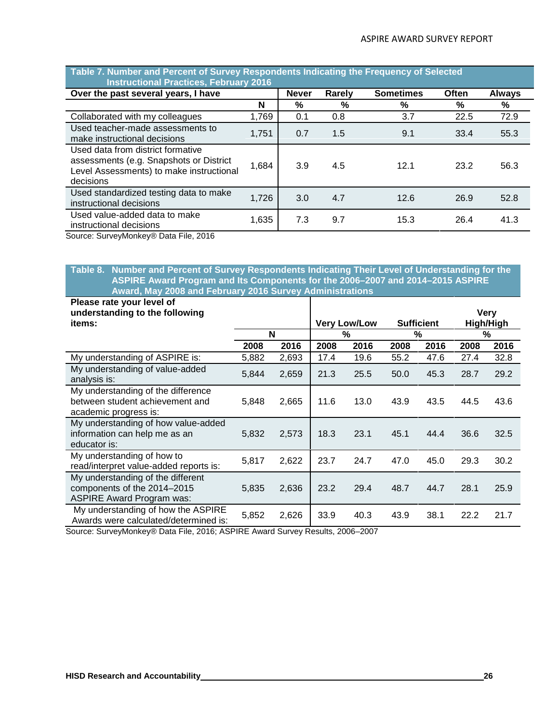| <b>Instructional Practices, February 2016</b>                                                                                         |       |              |        |                  |              |               |
|---------------------------------------------------------------------------------------------------------------------------------------|-------|--------------|--------|------------------|--------------|---------------|
| Over the past several years, I have                                                                                                   |       | <b>Never</b> | Rarely | <b>Sometimes</b> | <b>Often</b> | <b>Always</b> |
|                                                                                                                                       | N     | %            | %      | %                | %            | %             |
| Collaborated with my colleagues                                                                                                       | 1,769 | 0.1          | 0.8    | 3.7              | 22.5         | 72.9          |
| Used teacher-made assessments to<br>make instructional decisions                                                                      | 1,751 | 0.7          | 1.5    | 9.1              | 33.4         | 55.3          |
| Used data from district formative<br>assessments (e.g. Snapshots or District<br>Level Assessments) to make instructional<br>decisions | 1,684 | 3.9          | 4.5    | 12.1             | 23.2         | 56.3          |
| Used standardized testing data to make<br>instructional decisions                                                                     | 1,726 | 3.0          | 4.7    | 12.6             | 26.9         | 52.8          |
| Used value-added data to make<br>instructional decisions                                                                              | 1,635 | 7.3          | 9.7    | 15.3             | 26.4         | 41.3          |
|                                                                                                                                       |       |              |        |                  |              |               |

# **Table 7. Number and Percent of Survey Respondents Indicating the Frequency of Selected**

Source: SurveyMonkey® Data File, 2016

#### **Table 8. Number and Percent of Survey Respondents Indicating Their Level of Understanding for the ASPIRE Award Program and Its Components for the 2006–2007 and 2014–2015 ASPIRE Award, May 2008 and February 2016 Survey Administrations**

| Please rate your level of<br>understanding to the following                                          |       |       |      |                          |      | <b>Sufficient</b> |      | <b>Very</b>    |
|------------------------------------------------------------------------------------------------------|-------|-------|------|--------------------------|------|-------------------|------|----------------|
| items:                                                                                               |       | N     |      | <b>Very Low/Low</b><br>% |      | $\%$              |      | High/High<br>% |
|                                                                                                      | 2008  | 2016  | 2008 | 2016                     | 2008 | 2016              | 2008 | 2016           |
| My understanding of ASPIRE is:                                                                       | 5,882 | 2,693 | 17.4 | 19.6                     | 55.2 | 47.6              | 27.4 | 32.8           |
| My understanding of value-added<br>analysis is:                                                      | 5,844 | 2,659 | 21.3 | 25.5                     | 50.0 | 45.3              | 28.7 | 29.2           |
| My understanding of the difference<br>between student achievement and<br>academic progress is:       | 5,848 | 2,665 | 11.6 | 13.0                     | 43.9 | 43.5              | 44.5 | 43.6           |
| My understanding of how value-added<br>information can help me as an<br>educator is:                 | 5,832 | 2,573 | 18.3 | 23.1                     | 45.1 | 44.4              | 36.6 | 32.5           |
| My understanding of how to<br>read/interpret value-added reports is:                                 | 5,817 | 2,622 | 23.7 | 24.7                     | 47.0 | 45.0              | 29.3 | 30.2           |
| My understanding of the different<br>components of the 2014-2015<br><b>ASPIRE Award Program was:</b> | 5,835 | 2,636 | 23.2 | 29.4                     | 48.7 | 44.7              | 28.1 | 25.9           |
| My understanding of how the ASPIRE<br>Awards were calculated/determined is:                          | 5,852 | 2,626 | 33.9 | 40.3                     | 43.9 | 38.1              | 22.2 | 21.7           |

Source: SurveyMonkey® Data File, 2016; ASPIRE Award Survey Results, 2006–2007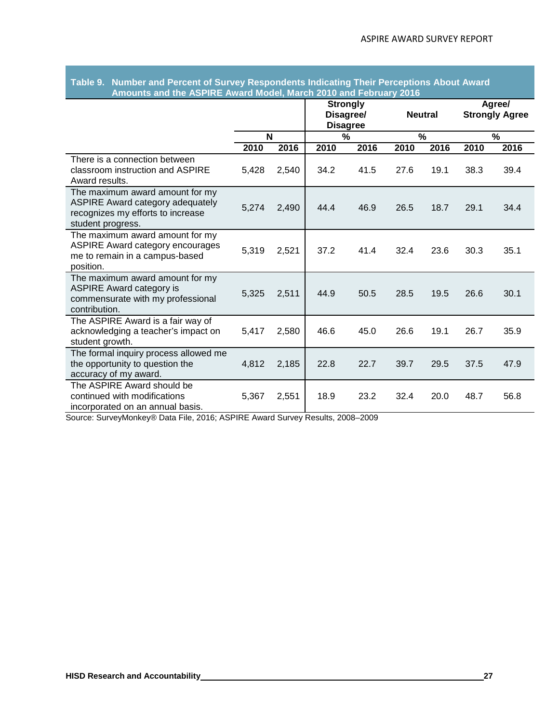|                                                                                                                                      | Amounts and the ASPIRE Award Model, March 2010 and February 2016 |       |                                    |           |      |                |      |                                 |
|--------------------------------------------------------------------------------------------------------------------------------------|------------------------------------------------------------------|-------|------------------------------------|-----------|------|----------------|------|---------------------------------|
|                                                                                                                                      |                                                                  |       | <b>Strongly</b><br><b>Disagree</b> | Disagree/ |      | <b>Neutral</b> |      | Agree/<br><b>Strongly Agree</b> |
|                                                                                                                                      | N                                                                |       | %                                  |           | %    |                | %    |                                 |
|                                                                                                                                      | 2010                                                             | 2016  | 2010                               | 2016      | 2010 | 2016           | 2010 | 2016                            |
| There is a connection between<br>classroom instruction and ASPIRE<br>Award results.                                                  | 5,428                                                            | 2,540 | 34.2                               | 41.5      | 27.6 | 19.1           | 38.3 | 39.4                            |
| The maximum award amount for my<br><b>ASPIRE Award category adequately</b><br>recognizes my efforts to increase<br>student progress. | 5,274                                                            | 2,490 | 44.4                               | 46.9      | 26.5 | 18.7           | 29.1 | 34.4                            |
| The maximum award amount for my<br><b>ASPIRE Award category encourages</b><br>me to remain in a campus-based<br>position.            | 5,319                                                            | 2,521 | 37.2                               | 41.4      | 32.4 | 23.6           | 30.3 | 35.1                            |
| The maximum award amount for my<br><b>ASPIRE Award category is</b><br>commensurate with my professional<br>contribution.             | 5,325                                                            | 2,511 | 44.9                               | 50.5      | 28.5 | 19.5           | 26.6 | 30.1                            |
| The ASPIRE Award is a fair way of<br>acknowledging a teacher's impact on<br>student growth.                                          | 5,417                                                            | 2,580 | 46.6                               | 45.0      | 26.6 | 19.1           | 26.7 | 35.9                            |
| The formal inquiry process allowed me<br>the opportunity to question the<br>accuracy of my award.                                    | 4,812                                                            | 2,185 | 22.8                               | 22.7      | 39.7 | 29.5           | 37.5 | 47.9                            |
| The ASPIRE Award should be<br>continued with modifications<br>incorporated on an annual basis.                                       | 5,367                                                            | 2,551 | 18.9                               | 23.2      | 32.4 | 20.0           | 48.7 | 56.8                            |

## **Table 9. Number and Percent of Survey Respondents Indicating Their Perceptions About Award Amounts and the ASPIRE Award Model, March 2010 and February 2016**

Source: SurveyMonkey® Data File, 2016; ASPIRE Award Survey Results, 2008–2009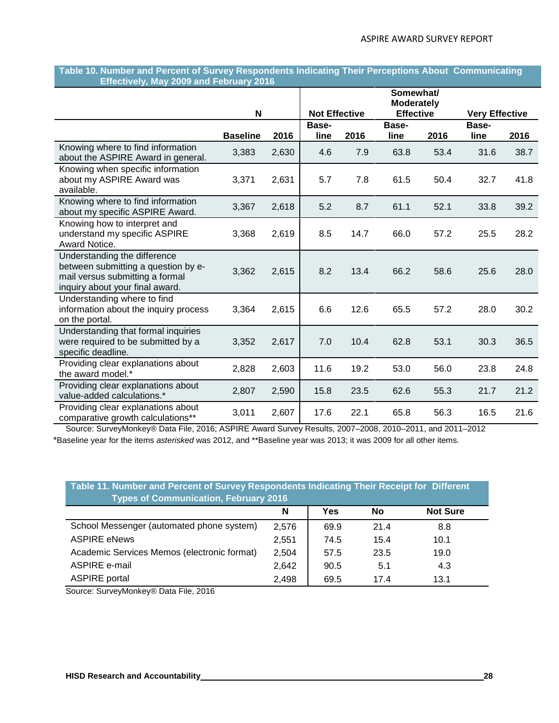#### **Table 10. Number and Percent of Survey Respondents Indicating Their Perceptions About Communicating Effectively, May 2009 and February 2016**

|                                                                                                                                           |                 |       |                      |      | Somewhat/<br><b>Moderately</b> |      |                       |      |
|-------------------------------------------------------------------------------------------------------------------------------------------|-----------------|-------|----------------------|------|--------------------------------|------|-----------------------|------|
|                                                                                                                                           | N               |       | <b>Not Effective</b> |      | <b>Effective</b>               |      | <b>Very Effective</b> |      |
|                                                                                                                                           | <b>Baseline</b> | 2016  | Base-<br>line        | 2016 | Base-<br>line                  | 2016 | Base-<br>line         | 2016 |
| Knowing where to find information<br>about the ASPIRE Award in general.                                                                   | 3,383           | 2,630 | 4.6                  | 7.9  | 63.8                           | 53.4 | 31.6                  | 38.7 |
| Knowing when specific information<br>about my ASPIRE Award was<br>available.                                                              | 3,371           | 2,631 | 5.7                  | 7.8  | 61.5                           | 50.4 | 32.7                  | 41.8 |
| Knowing where to find information<br>about my specific ASPIRE Award.                                                                      | 3,367           | 2,618 | 5.2                  | 8.7  | 61.1                           | 52.1 | 33.8                  | 39.2 |
| Knowing how to interpret and<br>understand my specific ASPIRE<br>Award Notice.                                                            | 3,368           | 2,619 | 8.5                  | 14.7 | 66.0                           | 57.2 | 25.5                  | 28.2 |
| Understanding the difference<br>between submitting a question by e-<br>mail versus submitting a formal<br>inquiry about your final award. | 3,362           | 2,615 | 8.2                  | 13.4 | 66.2                           | 58.6 | 25.6                  | 28.0 |
| Understanding where to find<br>information about the inquiry process<br>on the portal.                                                    | 3,364           | 2,615 | 6.6                  | 12.6 | 65.5                           | 57.2 | 28.0                  | 30.2 |
| Understanding that formal inquiries<br>were required to be submitted by a<br>specific deadline.                                           | 3,352           | 2,617 | 7.0                  | 10.4 | 62.8                           | 53.1 | 30.3                  | 36.5 |
| Providing clear explanations about<br>the award model.*                                                                                   | 2,828           | 2,603 | 11.6                 | 19.2 | 53.0                           | 56.0 | 23.8                  | 24.8 |
| Providing clear explanations about<br>value-added calculations.*                                                                          | 2,807           | 2,590 | 15.8                 | 23.5 | 62.6                           | 55.3 | 21.7                  | 21.2 |
| Providing clear explanations about<br>comparative growth calculations**                                                                   | 3,011           | 2,607 | 17.6                 | 22.1 | 65.8                           | 56.3 | 16.5                  | 21.6 |

Source: SurveyMonkey® Data File, 2016; ASPIRE Award Survey Results, 2007–2008, 2010–2011, and 2011–2012 \*Baseline year for the items *asterisked* was 2012, and \*\*Baseline year was 2013; it was 2009 for all other items.

| Table 11. Number and Percent of Survey Respondents Indicating Their Receipt for Different<br><b>Types of Communication, February 2016</b> |       |      |      |                 |  |  |  |  |  |
|-------------------------------------------------------------------------------------------------------------------------------------------|-------|------|------|-----------------|--|--|--|--|--|
|                                                                                                                                           | N     | Yes  | No   | <b>Not Sure</b> |  |  |  |  |  |
| School Messenger (automated phone system)                                                                                                 | 2,576 | 69.9 | 21.4 | 8.8             |  |  |  |  |  |
| <b>ASPIRE eNews</b>                                                                                                                       | 2,551 | 74.5 | 15.4 | 10.1            |  |  |  |  |  |
| Academic Services Memos (electronic format)                                                                                               | 2,504 | 57.5 | 23.5 | 19.0            |  |  |  |  |  |
| ASPIRE e-mail                                                                                                                             | 2,642 | 90.5 | 5.1  | 4.3             |  |  |  |  |  |
| <b>ASPIRE</b> portal                                                                                                                      | 2.498 | 69.5 | 17.4 | 13.1            |  |  |  |  |  |

Source: SurveyMonkey® Data File, 2016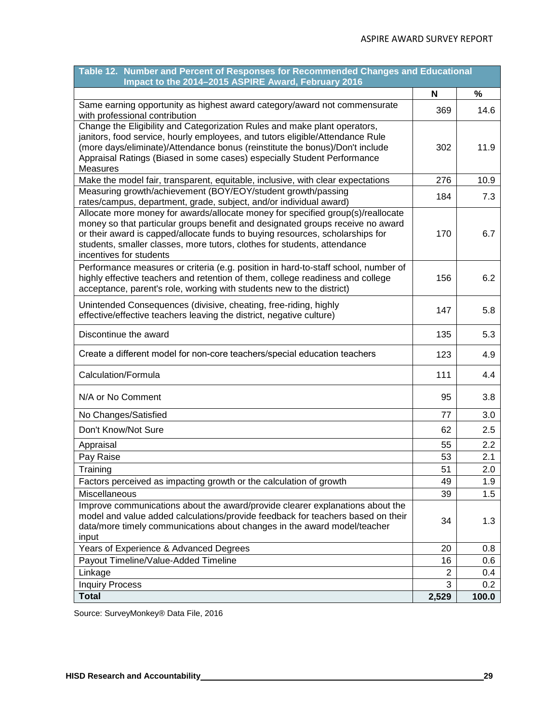| Table 12. Number and Percent of Responses for Recommended Changes and Educational<br>Impact to the 2014-2015 ASPIRE Award, February 2016                                                                                                                                                                                                                  |       |       |
|-----------------------------------------------------------------------------------------------------------------------------------------------------------------------------------------------------------------------------------------------------------------------------------------------------------------------------------------------------------|-------|-------|
|                                                                                                                                                                                                                                                                                                                                                           | N     | %     |
| Same earning opportunity as highest award category/award not commensurate<br>with professional contribution                                                                                                                                                                                                                                               | 369   | 14.6  |
| Change the Eligibility and Categorization Rules and make plant operators,<br>janitors, food service, hourly employees, and tutors eligible/Attendance Rule<br>(more days/eliminate)/Attendance bonus (reinstitute the bonus)/Don't include<br>Appraisal Ratings (Biased in some cases) especially Student Performance<br>Measures                         | 302   | 11.9  |
| Make the model fair, transparent, equitable, inclusive, with clear expectations                                                                                                                                                                                                                                                                           | 276   | 10.9  |
| Measuring growth/achievement (BOY/EOY/student growth/passing<br>rates/campus, department, grade, subject, and/or individual award)                                                                                                                                                                                                                        | 184   | 7.3   |
| Allocate more money for awards/allocate money for specified group(s)/reallocate<br>money so that particular groups benefit and designated groups receive no award<br>or their award is capped/allocate funds to buying resources, scholarships for<br>students, smaller classes, more tutors, clothes for students, attendance<br>incentives for students | 170   | 6.7   |
| Performance measures or criteria (e.g. position in hard-to-staff school, number of<br>highly effective teachers and retention of them, college readiness and college<br>acceptance, parent's role, working with students new to the district)                                                                                                             | 156   | 6.2   |
| Unintended Consequences (divisive, cheating, free-riding, highly<br>effective/effective teachers leaving the district, negative culture)                                                                                                                                                                                                                  | 147   | 5.8   |
| Discontinue the award                                                                                                                                                                                                                                                                                                                                     | 135   | 5.3   |
| Create a different model for non-core teachers/special education teachers                                                                                                                                                                                                                                                                                 | 123   | 4.9   |
| Calculation/Formula                                                                                                                                                                                                                                                                                                                                       | 111   | 4.4   |
| N/A or No Comment                                                                                                                                                                                                                                                                                                                                         | 95    | 3.8   |
| No Changes/Satisfied                                                                                                                                                                                                                                                                                                                                      | 77    | 3.0   |
| Don't Know/Not Sure                                                                                                                                                                                                                                                                                                                                       | 62    | 2.5   |
| Appraisal                                                                                                                                                                                                                                                                                                                                                 | 55    | 2.2   |
| Pay Raise                                                                                                                                                                                                                                                                                                                                                 | 53    | 2.1   |
| Training                                                                                                                                                                                                                                                                                                                                                  | 51    | 2.0   |
| Factors perceived as impacting growth or the calculation of growth                                                                                                                                                                                                                                                                                        | 49    | 1.9   |
| <b>Miscellaneous</b>                                                                                                                                                                                                                                                                                                                                      | 39    | 1.5   |
| Improve communications about the award/provide clearer explanations about the<br>model and value added calculations/provide feedback for teachers based on their<br>data/more timely communications about changes in the award model/teacher<br>input                                                                                                     | 34    | 1.3   |
| Years of Experience & Advanced Degrees                                                                                                                                                                                                                                                                                                                    | 20    | 0.8   |
| Payout Timeline/Value-Added Timeline                                                                                                                                                                                                                                                                                                                      | 16    | 0.6   |
| Linkage                                                                                                                                                                                                                                                                                                                                                   | 2     | 0.4   |
| <b>Inquiry Process</b>                                                                                                                                                                                                                                                                                                                                    | 3     | 0.2   |
| <b>Total</b>                                                                                                                                                                                                                                                                                                                                              | 2,529 | 100.0 |

Source: SurveyMonkey® Data File, 2016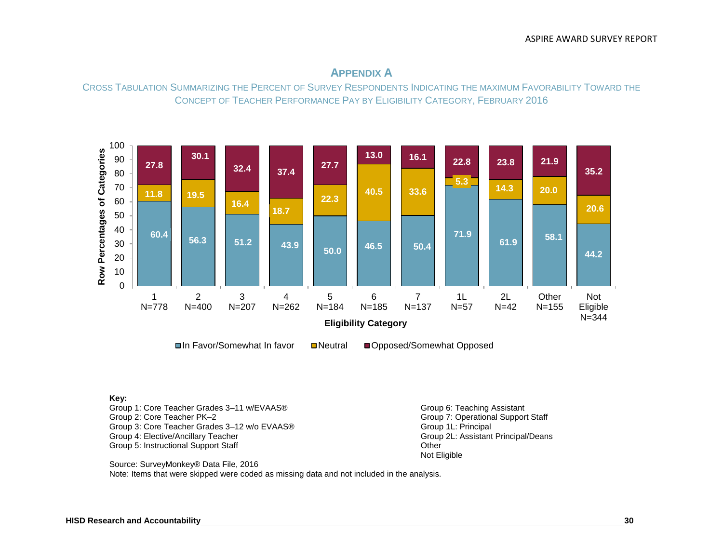

# **APPENDIX A**

CROSS TABULATION SUMMARIZING THE PERCENT OF SURVEY RESPONDENTS INDICATING THE MAXIMUM FAVORABILITY TOWARD THE CONCEPT OF TEACHER PERFORMANCE PAY BY ELIGIBILITY CATEGORY, FEBRUARY 2016

#### **Key:**

Group 1: Core Teacher Grades 3–11 w/EVAAS® Group 6: Teaching Assistant Group 6: Teaching Assistant Group 2: Core Teacher PK–2 Group 3: Core Teacher Grades 3–12 w/o EVAAS® Group 1L: Principal Croup 1L: Principal Croup 1. Croup 1. Croup 1<br>Group 4: Elective/Ancillary Teacher Group 2. Assistant Principal/Deans Group 4: Elective/Ancillary Teacher Group 2L: Assistant Principal Croup 2L: Assistant Principal Croup 2011<br>Group 5: Instructional Support Staff Group 2011 Group 5: Instructional Support Staff

Group 7: Operational Support Staff<br>Group 1L: Principal Not Eligible

Source: SurveyMonkey® Data File, 2016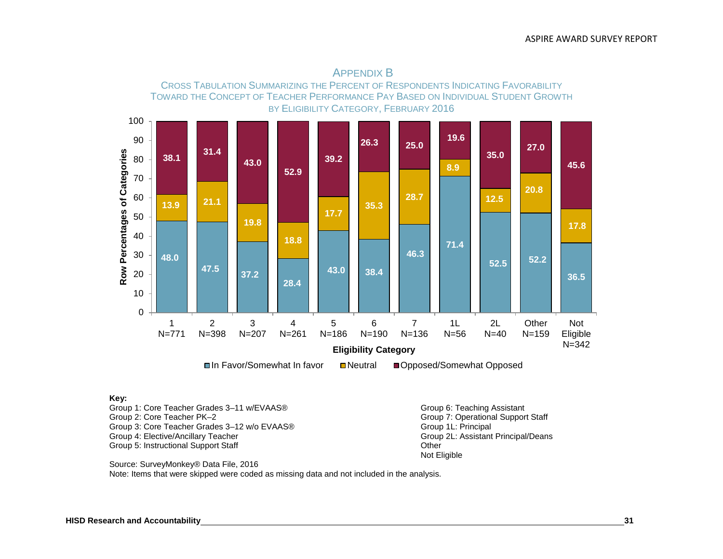

#### **Key:**

Group 1: Core Teacher Grades 3–11 w/EVAAS® Group 6: Teaching Assistant Group 6: Teaching Assistant Group 2: Core Teacher PK–2 Group 3: Core Teacher Grades 3–12 w/o EVAAS® Group 1L: Principal Group 1L: Principal<br>Group 4: Elective/Ancillary Teacher Group 20: Assistant Principal/Deans Group 4: Elective/Ancillary Teacher Group 2L: Assistant Principal Croup 2L: Assistant Principal Croup 2011<br>Group 5: Instructional Support Staff Group 2011 Group 5: Instructional Support Staff

Group 7: Operational Support Staff<br>Group 1L: Principal Not Eligible

Source: SurveyMonkey® Data File, 2016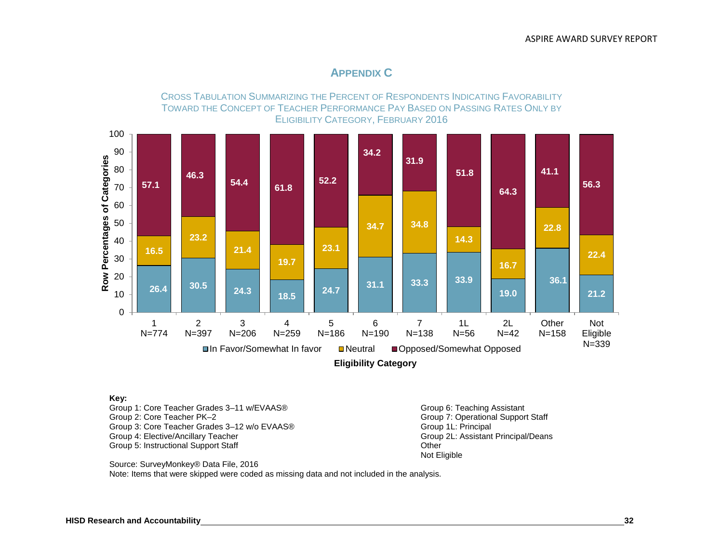# **APPENDIX C**

CROSS TABULATION SUMMARIZING THE PERCENT OF RESPONDENTS INDICATING FAVORABILITY TOWARD THE CONCEPT OF TEACHER PERFORMANCE PAY BASED ON PASSING RATES ONLY BY ELIGIBILITY CATEGORY, FEBRUARY 2016



#### **Key:**

Group 1: Core Teacher Grades 3–11 w/EVAAS® Group 6: Teaching Assistant Group 6: Teaching Assistant Group 2: Core Teacher PK–2 Group 3: Core Teacher Grades 3–12 w/o EVAAS® Group 1L: Principal Group 1L: Principal Group 1L: Principal/Deans<br>Group 4: Elective/Ancillary Teacher Group 4: Elective/Ancillary Teacher Group 2L: Assistant Principal Croup 2L: Assistant Principal Croup 2011<br>Group 5: Instructional Support Staff Group 2011 Group 5: Instructional Support Staff

Group 7: Operational Support Staff<br>Group 1L: Principal Not Eligible

Source: SurveyMonkey® Data File, 2016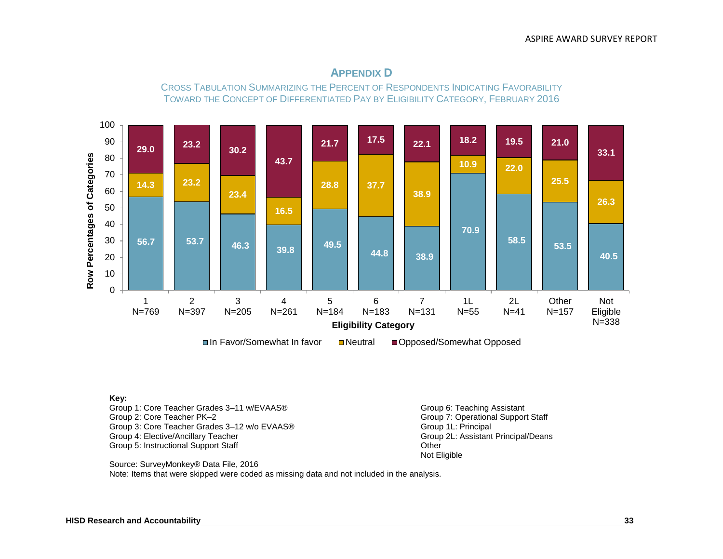

# **APPENDIX D**

CROSS TABULATION SUMMARIZING THE PERCENT OF RESPONDENTS INDICATING FAVORABILITY TOWARD THE CONCEPT OF DIFFERENTIATED PAY BY ELIGIBILITY CATEGORY, FEBRUARY 2016

#### **Key:**

Group 1: Core Teacher Grades 3–11 w/EVAAS® Group 6: Teaching Assistant Group 6: Teaching Assistant Group 2: Core Teacher PK–2 Group 3: Core Teacher Grades 3–12 w/o EVAAS® Group 1L: Principal Croup 1L: Principal Croup 1. Croup 1. Croup 1<br>Group 4: Elective/Ancillary Teacher Group 2. Assistant Principal/Deans Group 4: Elective/Ancillary Teacher Group 2L: Assistant Principal Croup 2L: Assistant Principal Croup 2011<br>Group 5: Instructional Support Staff Group 2011 Group 5: Instructional Support Staff

Group 7: Operational Support Staff<br>Group 1L: Principal Not Eligible

Source: SurveyMonkey® Data File, 2016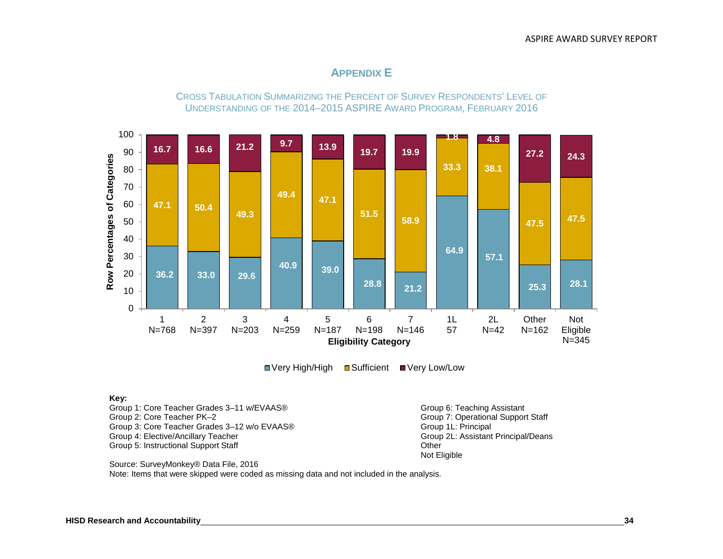# **APPENDIX E**

CROSS TABULATION SUMMARIZING THE PERCENT OF SURVEY RESPONDENTS' LEVEL OF UNDERSTANDING OF THE 2014–2015 ASPIRE AWARD PROGRAM, FEBRUARY 2016



■ Very High/High ■ Sufficient ■ Very Low/Low

#### **Key:**

Group 1: Core Teacher Grades 3–11 w/EVAAS® Group 6: Teaching Assistant Group 6: Teaching Assistant Group 2: Core Teacher PK–2 Group 3: Core Teacher Grades 3–12 w/o EVAAS® Group 1L: Principal Croup 1L: Principal Croup 1. Croup 1. Croup 1<br>Group 4: Elective/Ancillary Teacher Group 2. Assistant Principal/Deans Group 4: Elective/Ancillary Teacher Group 2L: Assistant Principal Croup 2L: Assistant Principal Croup 2011<br>Group 5: Instructional Support Staff Group 2011 Group 5: Instructional Support Staff

Group 7: Operational Support Staff<br>Group 1L: Principal Not Eligible

Source: SurveyMonkey® Data File, 2016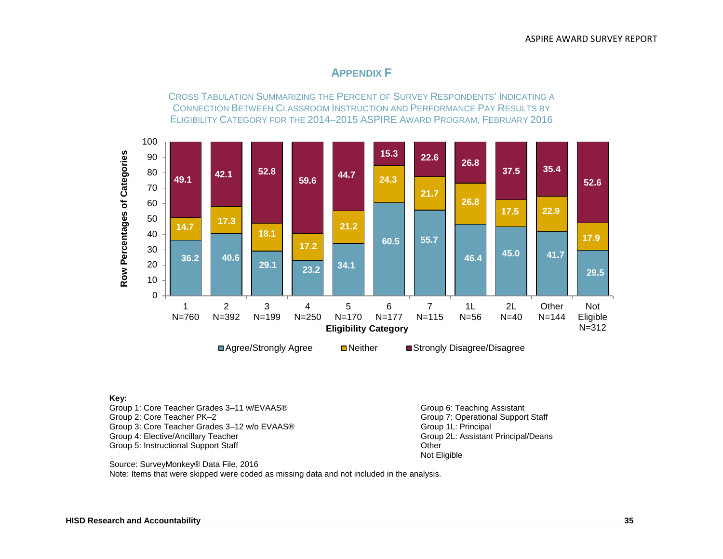# **APPENDIX F**

CROSS TABULATION SUMMARIZING THE PERCENT OF SURVEY RESPONDENTS' INDICATING A CONNECTION BETWEEN CLASSROOM INSTRUCTION AND PERFORMANCE PAY RESULTS BY ELIGIBILITY CATEGORY FOR THE 2014–2015 ASPIRE AWARD PROGRAM, FEBRUARY 2016



#### **Key:**

Group 1: Core Teacher Grades 3–11 w/EVAAS® Group 6: Teaching Assistant Group 6: Teaching Assistant Group 2: Core Teacher PK–2 Group 3: Core Teacher Grades 3–12 w/o EVAAS® Group 1L: Principal Croup 1L: Principal Croup 1. Croup 1. Croup 1<br>Group 4: Elective/Ancillary Teacher Group 2. Assistant Principal/Deans Group 4: Elective/Ancillary Teacher Group 2L: Assistant Principal Croup 2L: Assistant Principal Croup 2011<br>Group 5: Instructional Support Staff Group 2011 Group 5: Instructional Support Staff

Group 7: Operational Support Staff<br>Group 1L: Principal Not Eligible

Source: SurveyMonkey® Data File, 2016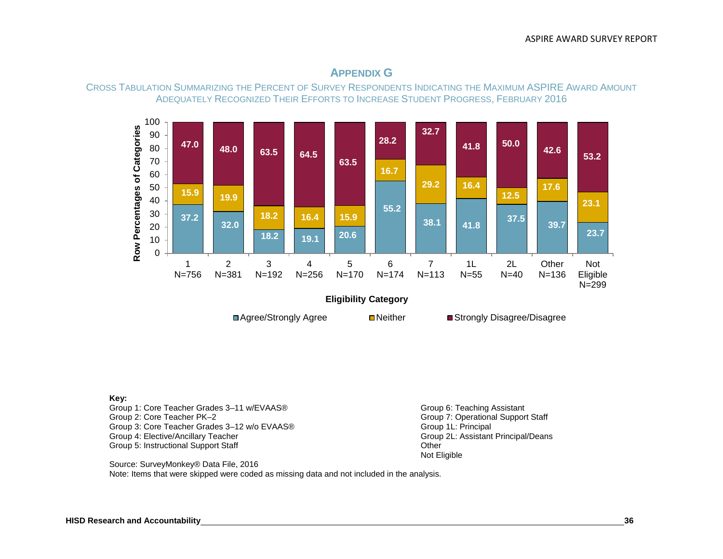

# **APPENDIX G**

CROSS TABULATION SUMMARIZING THE PERCENT OF SURVEY RESPONDENTS INDICATING THE MAXIMUM ASPIRE AWARD AMOUNT ADEQUATELY RECOGNIZED THEIR EFFORTS TO INCREASE STUDENT PROGRESS, FEBRUARY 2016

#### **Key:**

Group 1: Core Teacher Grades 3–11 w/EVAAS® Group 6: Teaching Assistant Group 6: Teaching Assistant Group 2: Core Teacher PK–2 Group 3: Core Teacher Grades 3–12 w/o EVAAS® Group 1L: Principal Croup 1L: Principal Croup 1. Croup 1. Croup 1<br>Group 4: Elective/Ancillary Teacher Group 2. Assistant Principal/Deans Group 4: Elective/Ancillary Teacher Group 2L: Assistant Principal Croup 2L: Assistant Principal Croup 2011<br>Group 5: Instructional Support Staff Group 2011 Group 5: Instructional Support Staff

Group 7: Operational Support Staff<br>Group 1L: Principal Not Eligible

Source: SurveyMonkey® Data File, 2016 Note: Items that were skipped were coded as missing data and not included in the analysis.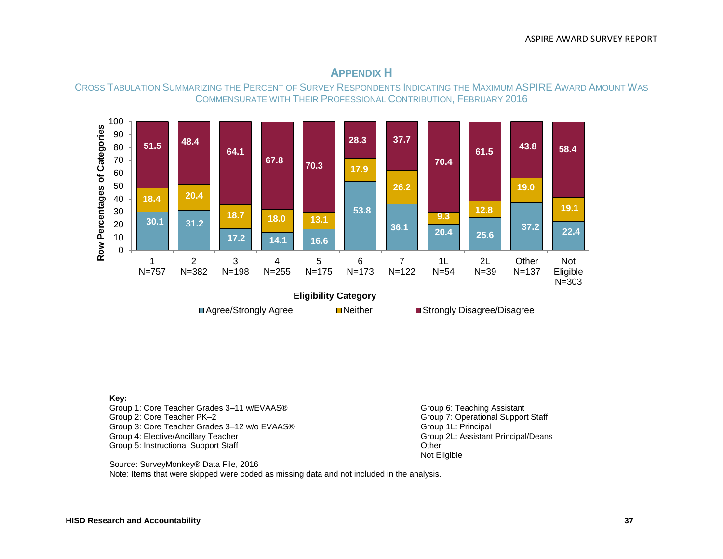

# **APPENDIX H**

CROSS TABULATION SUMMARIZING THE PERCENT OF SURVEY RESPONDENTS INDICATING THE MAXIMUM ASPIRE AWARD AMOUNT WAS COMMENSURATE WITH THEIR PROFESSIONAL CONTRIBUTION, FEBRUARY 2016

#### **Key:**

Group 1: Core Teacher Grades 3–11 w/EVAAS® Group 6: Teaching Assistant Group 6: Teaching Assistant Group 2: Core Teacher PK–2 Group 3: Core Teacher Grades 3–12 w/o EVAAS® Group 1L: Principal Croup 1L: Principal Croup 1. Croup 1. Croup 1<br>Group 4: Elective/Ancillary Teacher Group 2. Assistant Principal/Deans Group 4: Elective/Ancillary Teacher Group 2L: Assistant Principal Croup 2L: Assistant Principal Croup 2011<br>Group 5: Instructional Support Staff Group 2011 Group 5: Instructional Support Staff

Group 7: Operational Support Staff<br>Group 1L: Principal Not Eligible

Source: SurveyMonkey® Data File, 2016 Note: Items that were skipped were coded as missing data and not included in the analysis.